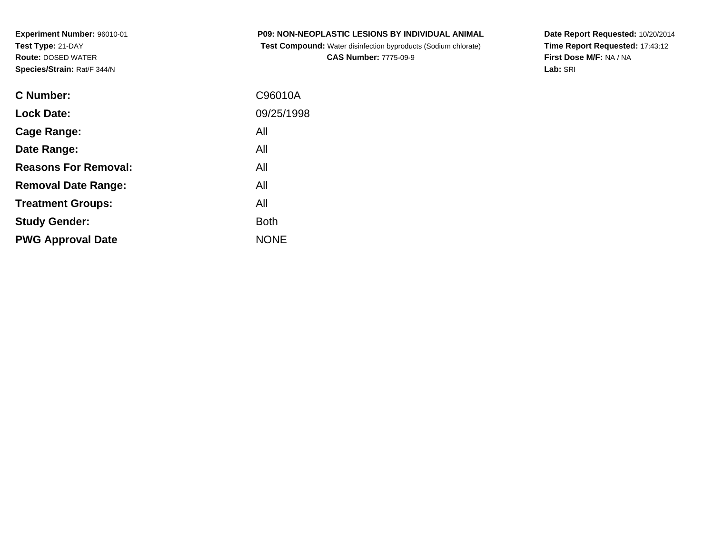**Experiment Number:** 96010-01**Test Type:** 21-DAY **Route:** DOSED WATER**Species/Strain:** Rat/F 344/N

| <b>C Number:</b>            | C96010A     |
|-----------------------------|-------------|
| <b>Lock Date:</b>           | 09/25/1998  |
| <b>Cage Range:</b>          | All         |
| Date Range:                 | All         |
| <b>Reasons For Removal:</b> | All         |
| <b>Removal Date Range:</b>  | All         |
| <b>Treatment Groups:</b>    | All         |
| <b>Study Gender:</b>        | <b>Both</b> |
| <b>PWG Approval Date</b>    | <b>NONE</b> |
|                             |             |

**P09: NON-NEOPLASTIC LESIONS BY INDIVIDUAL ANIMAL Test Compound:** Water disinfection byproducts (Sodium chlorate)**CAS Number:** 7775-09-9

**Date Report Requested:** 10/20/2014 **Time Report Requested:** 17:43:12**First Dose M/F:** NA / NA**Lab:** SRI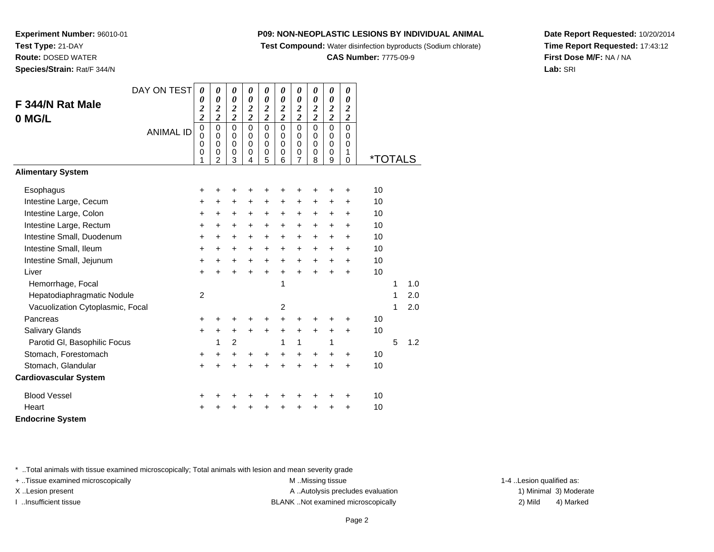**Test Compound:** Water disinfection byproducts (Sodium chlorate)

#### **CAS Number:** 7775-09-9

**Date Report Requested:** 10/20/2014**Time Report Requested:** 17:43:12**First Dose M/F:** NA / NA**Lab:** SRI

**Experiment Number:** 96010-01**Test Type:** 21-DAY **Route:** DOSED WATER**Species/Strain:** Rat/F 344/N

|                                  | DAY ON TEST      | $\boldsymbol{\theta}$                                         | 0                                                   | 0                                                   | 0                                                | 0                                                   | 0                                                | 0                                                                | 0                                                | 0                                                | 0                                       |                       |   |     |
|----------------------------------|------------------|---------------------------------------------------------------|-----------------------------------------------------|-----------------------------------------------------|--------------------------------------------------|-----------------------------------------------------|--------------------------------------------------|------------------------------------------------------------------|--------------------------------------------------|--------------------------------------------------|-----------------------------------------|-----------------------|---|-----|
| F 344/N Rat Male                 |                  | 0<br>$\boldsymbol{2}$                                         | 0<br>$\boldsymbol{2}$                               | 0<br>$\overline{\mathbf{c}}$                        | $\boldsymbol{\theta}$<br>$\overline{\mathbf{c}}$ | $\boldsymbol{\theta}$<br>$\overline{\mathbf{c}}$    | $\boldsymbol{\theta}$<br>$\overline{\mathbf{c}}$ | 0<br>$\overline{\mathbf{c}}$                                     | $\boldsymbol{\theta}$<br>$\overline{\mathbf{c}}$ | $\boldsymbol{\theta}$<br>$\overline{\mathbf{c}}$ | $\boldsymbol{\theta}$<br>$\overline{2}$ |                       |   |     |
| 0 MG/L                           |                  | $\overline{c}$                                                | $\overline{2}$                                      | $\overline{2}$                                      | $\overline{2}$                                   | $\overline{2}$                                      | $\overline{2}$                                   | $\overline{2}$                                                   | $\overline{2}$                                   | $\overline{2}$                                   | $\overline{2}$                          |                       |   |     |
|                                  | <b>ANIMAL ID</b> | $\mathbf 0$<br>$\mathbf 0$<br>$\mathbf 0$<br>$\mathbf 0$<br>1 | 0<br>$\Omega$<br>$\mathbf 0$<br>0<br>$\overline{2}$ | $\mathbf 0$<br>$\mathbf 0$<br>$\mathbf 0$<br>0<br>3 | 0<br>$\Omega$<br>$\Omega$<br>0<br>4              | $\mathbf 0$<br>$\mathbf 0$<br>$\mathbf 0$<br>0<br>5 | $\mathbf 0$<br>0<br>$\Omega$<br>0<br>6           | $\mathbf 0$<br>0<br>$\mathbf 0$<br>$\mathbf 0$<br>$\overline{7}$ | $\mathbf 0$<br>0<br>$\Omega$<br>0<br>8           | 0<br>0<br>$\Omega$<br>0<br>9                     | 0<br>0<br>$\Omega$<br>1<br>0            | <i><b>*TOTALS</b></i> |   |     |
| <b>Alimentary System</b>         |                  |                                                               |                                                     |                                                     |                                                  |                                                     |                                                  |                                                                  |                                                  |                                                  |                                         |                       |   |     |
| Esophagus                        |                  | +                                                             | +                                                   | +                                                   | +                                                | +                                                   | +                                                | +                                                                | +                                                | +                                                | +                                       | 10                    |   |     |
| Intestine Large, Cecum           |                  | +                                                             | $\pm$                                               | +                                                   | +                                                | +                                                   | $\ddot{}$                                        | $\ddot{}$                                                        | +                                                | +                                                | +                                       | 10                    |   |     |
| Intestine Large, Colon           |                  | $\ddot{}$                                                     | $+$                                                 | +                                                   | $\ddot{}$                                        | $\ddot{}$                                           | $\ddot{}$                                        | $+$                                                              | $\ddot{}$                                        | $\pm$                                            | +                                       | 10                    |   |     |
| Intestine Large, Rectum          |                  | $\ddot{}$                                                     | $+$                                                 | $\ddot{}$                                           | $\ddot{}$                                        | +                                                   | $\ddot{}$                                        | $+$                                                              | $\ddot{}$                                        | $\ddot{}$                                        | +                                       | 10                    |   |     |
| Intestine Small, Duodenum        |                  | +                                                             | $\ddot{}$                                           | +                                                   | $\ddot{}$                                        | +                                                   | $\ddot{}$                                        | $\ddot{}$                                                        | $\ddot{}$                                        | $\ddot{}$                                        | +                                       | 10                    |   |     |
| Intestine Small, Ileum           |                  | +                                                             | $\ddot{}$                                           | +                                                   | $\ddot{}$                                        | +                                                   | $\ddot{}$                                        | $\ddot{}$                                                        | $\ddot{}$                                        | $\ddot{}$                                        | +                                       | 10                    |   |     |
| Intestine Small, Jejunum         |                  | +                                                             | $\ddot{}$                                           | +                                                   | $\ddot{}$                                        | $\ddot{}$                                           | $+$                                              | $+$                                                              | $\ddot{}$                                        | $\ddot{}$                                        | +                                       | 10                    |   |     |
| Liver                            |                  | $+$                                                           | $\ddot{}$                                           | $\ddot{}$                                           | $\ddot{}$                                        | $\ddot{}$                                           | $+$                                              | $+$                                                              | $\ddot{}$                                        | $\ddot{}$                                        | $\ddot{}$                               | 10                    |   |     |
| Hemorrhage, Focal                |                  |                                                               |                                                     |                                                     |                                                  |                                                     | 1                                                |                                                                  |                                                  |                                                  |                                         |                       | 1 | 1.0 |
| Hepatodiaphragmatic Nodule       |                  | $\overline{c}$                                                |                                                     |                                                     |                                                  |                                                     |                                                  |                                                                  |                                                  |                                                  |                                         |                       | 1 | 2.0 |
| Vacuolization Cytoplasmic, Focal |                  |                                                               |                                                     |                                                     |                                                  |                                                     | $\overline{2}$                                   |                                                                  |                                                  |                                                  |                                         |                       | 1 | 2.0 |
| Pancreas                         |                  | $\pm$                                                         |                                                     |                                                     | +                                                |                                                     | $\ddot{}$                                        | ÷                                                                |                                                  | +                                                | +                                       | 10                    |   |     |
| Salivary Glands                  |                  | $\ddot{}$                                                     | $\pm$                                               | $\ddot{}$                                           | $\ddot{}$                                        | $\ddot{}$                                           | $+$                                              | $+$                                                              | $\ddot{}$                                        | $\ddot{}$                                        | $\ddot{}$                               | 10                    |   |     |
| Parotid GI, Basophilic Focus     |                  |                                                               | 1                                                   | $\overline{2}$                                      |                                                  |                                                     | 1                                                | $\mathbf{1}$                                                     |                                                  | 1                                                |                                         |                       | 5 | 1.2 |
| Stomach, Forestomach             |                  | +                                                             | $\ddot{}$                                           | $\ddot{}$                                           | +                                                | +                                                   | $\ddot{}$                                        | +                                                                | $\ddot{}$                                        | +                                                | +                                       | 10                    |   |     |
| Stomach, Glandular               |                  | $\ddot{}$                                                     | $\div$                                              | $\ddot{}$                                           | +                                                | +                                                   |                                                  | ÷                                                                | $\ddot{}$                                        | $\ddot{}$                                        | $\ddot{}$                               | 10                    |   |     |
| <b>Cardiovascular System</b>     |                  |                                                               |                                                     |                                                     |                                                  |                                                     |                                                  |                                                                  |                                                  |                                                  |                                         |                       |   |     |
| <b>Blood Vessel</b>              |                  | +                                                             |                                                     |                                                     |                                                  |                                                     |                                                  |                                                                  |                                                  | +                                                | +                                       | 10                    |   |     |
| Heart                            |                  | +                                                             |                                                     |                                                     |                                                  |                                                     |                                                  |                                                                  | +                                                | +                                                | +                                       | 10                    |   |     |
| <b>Endocrine System</b>          |                  |                                                               |                                                     |                                                     |                                                  |                                                     |                                                  |                                                                  |                                                  |                                                  |                                         |                       |   |     |

\* ..Total animals with tissue examined microscopically; Total animals with lesion and mean severity grade

+ ..Tissue examined microscopically examined microscopically examined as:  $M$  ..Missing tissue 1-4 ..Lesion qualified as: X..Lesion present **A ..Autolysis precludes evaluation** A ..Autolysis precludes evaluation 1) Minimal 3) Moderate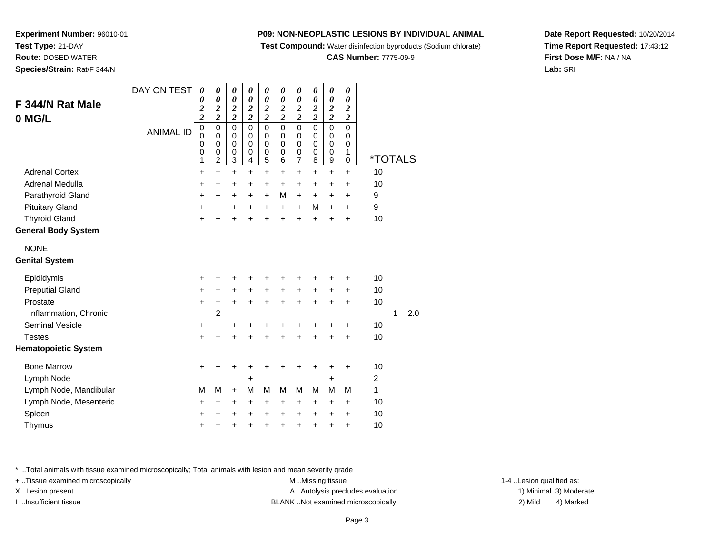**Test Compound:** Water disinfection byproducts (Sodium chlorate)

**CAS Number:** 7775-09-9

**Date Report Requested:** 10/20/2014**Time Report Requested:** 17:43:12**First Dose M/F:** NA / NA**Lab:** SRI

**Experiment Number:** 96010-01**Test Type:** 21-DAY **Route:** DOSED WATER**Species/Strain:** Rat/F 344/N

| F 344/N Rat Male<br>0 MG/L           | DAY ON TEST<br><b>ANIMAL ID</b> | $\boldsymbol{\theta}$<br>0<br>$\overline{\mathbf{c}}$<br>$\overline{c}$<br>$\pmb{0}$<br>$\mathbf 0$<br>$\mathbf 0$<br>0<br>1 | 0<br>0<br>$\boldsymbol{2}$<br>$\overline{2}$<br>$\pmb{0}$<br>$\mathbf 0$<br>$\pmb{0}$<br>0<br>$\overline{c}$ | 0<br>$\boldsymbol{\theta}$<br>$\overline{\mathbf{c}}$<br>$\overline{2}$<br>0<br>$\Omega$<br>$\mathbf 0$<br>$\mathbf 0$<br>3 | 0<br>0<br>$\overline{\mathbf{c}}$<br>$\overline{2}$<br>0<br>$\Omega$<br>$\mathbf 0$<br>$\mathbf 0$<br>4 | 0<br>$\boldsymbol{\theta}$<br>$\overline{\mathbf{c}}$<br>$\overline{2}$<br>$\mathbf 0$<br>$\Omega$<br>$\mathbf 0$<br>$\mathbf 0$<br>5 | 0<br>$\boldsymbol{\theta}$<br>$\overline{\mathbf{c}}$<br>$\overline{2}$<br>$\pmb{0}$<br>0<br>$\mathbf 0$<br>$\mathbf 0$<br>6 | 0<br>$\boldsymbol{\theta}$<br>$\overline{\mathbf{c}}$<br>$\overline{2}$<br>$\pmb{0}$<br>0<br>$\mathbf 0$<br>$\mathbf 0$<br>$\overline{7}$ | 0<br>0<br>$\boldsymbol{2}$<br>$\overline{2}$<br>$\mathbf 0$<br>0<br>$\mathbf 0$<br>0<br>8 | 0<br>$\boldsymbol{\theta}$<br>$\overline{\mathbf{c}}$<br>$\overline{c}$<br>$\mathbf 0$<br>$\mathbf 0$<br>$\mathbf 0$<br>$\mathbf 0$<br>9 | 0<br>$\boldsymbol{\theta}$<br>$\boldsymbol{2}$<br>$\overline{c}$<br>$\mathbf 0$<br>0<br>$\mathbf 0$<br>1<br>0 | <i><b>*TOTALS</b></i> |   |     |
|--------------------------------------|---------------------------------|------------------------------------------------------------------------------------------------------------------------------|--------------------------------------------------------------------------------------------------------------|-----------------------------------------------------------------------------------------------------------------------------|---------------------------------------------------------------------------------------------------------|---------------------------------------------------------------------------------------------------------------------------------------|------------------------------------------------------------------------------------------------------------------------------|-------------------------------------------------------------------------------------------------------------------------------------------|-------------------------------------------------------------------------------------------|------------------------------------------------------------------------------------------------------------------------------------------|---------------------------------------------------------------------------------------------------------------|-----------------------|---|-----|
| <b>Adrenal Cortex</b>                |                                 | $\ddot{}$                                                                                                                    | $\ddot{}$                                                                                                    | $\ddot{}$                                                                                                                   | $\ddot{}$                                                                                               | $\ddot{}$                                                                                                                             | $\ddot{}$                                                                                                                    | +                                                                                                                                         | $\ddot{}$                                                                                 | $\ddot{}$                                                                                                                                | $\ddot{}$                                                                                                     | 10                    |   |     |
| Adrenal Medulla                      |                                 | +                                                                                                                            | +                                                                                                            | $\ddot{}$                                                                                                                   | +                                                                                                       | +                                                                                                                                     | $\ddot{}$                                                                                                                    | $\ddot{}$                                                                                                                                 | $\ddot{}$                                                                                 | $\ddot{}$                                                                                                                                | +                                                                                                             | 10                    |   |     |
| Parathyroid Gland                    |                                 | +                                                                                                                            | +                                                                                                            | $\ddot{}$                                                                                                                   | $\ddot{}$                                                                                               | $\ddot{}$                                                                                                                             | M                                                                                                                            | $\ddot{}$                                                                                                                                 | +                                                                                         | $\ddot{}$                                                                                                                                | $\ddot{}$                                                                                                     | 9                     |   |     |
| <b>Pituitary Gland</b>               |                                 | +                                                                                                                            | +                                                                                                            | +                                                                                                                           | $\ddot{}$                                                                                               | $\ddot{}$                                                                                                                             | $\ddot{}$                                                                                                                    | $\ddot{}$                                                                                                                                 | M                                                                                         | $\ddot{}$                                                                                                                                | $\ddot{}$                                                                                                     | 9                     |   |     |
| <b>Thyroid Gland</b>                 |                                 | $\ddot{}$                                                                                                                    | ÷                                                                                                            | $\ddot{}$                                                                                                                   | $\ddot{}$                                                                                               | $\ddot{}$                                                                                                                             | $\ddot{}$                                                                                                                    | $\ddot{}$                                                                                                                                 | $\ddot{}$                                                                                 | $\ddot{}$                                                                                                                                | $\ddot{}$                                                                                                     | 10                    |   |     |
| <b>General Body System</b>           |                                 |                                                                                                                              |                                                                                                              |                                                                                                                             |                                                                                                         |                                                                                                                                       |                                                                                                                              |                                                                                                                                           |                                                                                           |                                                                                                                                          |                                                                                                               |                       |   |     |
| <b>NONE</b><br><b>Genital System</b> |                                 |                                                                                                                              |                                                                                                              |                                                                                                                             |                                                                                                         |                                                                                                                                       |                                                                                                                              |                                                                                                                                           |                                                                                           |                                                                                                                                          |                                                                                                               |                       |   |     |
| Epididymis                           |                                 | +                                                                                                                            | ٠                                                                                                            | +                                                                                                                           | +                                                                                                       | +                                                                                                                                     | ٠                                                                                                                            | +                                                                                                                                         | +                                                                                         | ٠                                                                                                                                        | +                                                                                                             | 10                    |   |     |
| <b>Preputial Gland</b>               |                                 | +                                                                                                                            | +                                                                                                            | +                                                                                                                           | +                                                                                                       | +                                                                                                                                     | $\ddot{}$                                                                                                                    | +                                                                                                                                         | +                                                                                         | $\ddot{}$                                                                                                                                | +                                                                                                             | 10                    |   |     |
| Prostate                             |                                 | +                                                                                                                            | $\ddot{}$                                                                                                    | $\ddot{}$                                                                                                                   | $\ddot{}$                                                                                               | $\ddot{}$                                                                                                                             | $+$                                                                                                                          | $\ddot{}$                                                                                                                                 | $\ddot{}$                                                                                 | $\ddot{}$                                                                                                                                | $\ddot{}$                                                                                                     | 10                    |   |     |
| Inflammation, Chronic                |                                 |                                                                                                                              | 2                                                                                                            |                                                                                                                             |                                                                                                         |                                                                                                                                       |                                                                                                                              |                                                                                                                                           |                                                                                           |                                                                                                                                          |                                                                                                               |                       | 1 | 2.0 |
| <b>Seminal Vesicle</b>               |                                 | +                                                                                                                            | $\ddot{}$                                                                                                    | +                                                                                                                           | +                                                                                                       | +                                                                                                                                     | +                                                                                                                            | +                                                                                                                                         | +                                                                                         | +                                                                                                                                        | +                                                                                                             | 10                    |   |     |
| <b>Testes</b>                        |                                 | +                                                                                                                            | $\ddot{}$                                                                                                    | $\ddot{}$                                                                                                                   | $\ddot{}$                                                                                               | $\ddot{}$                                                                                                                             | $\ddot{}$                                                                                                                    | $\ddot{}$                                                                                                                                 | $\ddot{}$                                                                                 | $\ddot{}$                                                                                                                                | $\ddot{}$                                                                                                     | 10                    |   |     |
| <b>Hematopoietic System</b>          |                                 |                                                                                                                              |                                                                                                              |                                                                                                                             |                                                                                                         |                                                                                                                                       |                                                                                                                              |                                                                                                                                           |                                                                                           |                                                                                                                                          |                                                                                                               |                       |   |     |
| <b>Bone Marrow</b>                   |                                 | $\ddot{}$                                                                                                                    | ٠                                                                                                            | ٠                                                                                                                           | ٠                                                                                                       | ٠                                                                                                                                     | ٠                                                                                                                            | +                                                                                                                                         | ٠                                                                                         | $\ddot{}$                                                                                                                                | $\ddot{}$                                                                                                     | 10                    |   |     |
| Lymph Node                           |                                 |                                                                                                                              |                                                                                                              |                                                                                                                             | +                                                                                                       |                                                                                                                                       |                                                                                                                              |                                                                                                                                           |                                                                                           | $\ddot{}$                                                                                                                                |                                                                                                               | $\overline{2}$        |   |     |
| Lymph Node, Mandibular               |                                 | M                                                                                                                            | M                                                                                                            | +                                                                                                                           | M                                                                                                       | M                                                                                                                                     | М                                                                                                                            | M                                                                                                                                         | M                                                                                         | M                                                                                                                                        | M                                                                                                             | 1                     |   |     |
| Lymph Node, Mesenteric               |                                 | +                                                                                                                            | +                                                                                                            | +                                                                                                                           | +                                                                                                       | +                                                                                                                                     | +                                                                                                                            | +                                                                                                                                         | +                                                                                         | $\ddot{}$                                                                                                                                | $\ddot{}$                                                                                                     | 10                    |   |     |
| Spleen                               |                                 | +                                                                                                                            | +                                                                                                            | +                                                                                                                           | +                                                                                                       | +                                                                                                                                     | $\ddot{}$                                                                                                                    | +                                                                                                                                         | +                                                                                         | $\ddot{}$                                                                                                                                | $\ddot{}$                                                                                                     | 10                    |   |     |
| Thymus                               |                                 | +                                                                                                                            | +                                                                                                            | +                                                                                                                           | +                                                                                                       | +                                                                                                                                     | +                                                                                                                            | +                                                                                                                                         | $\pmb{+}$                                                                                 | +                                                                                                                                        | $\ddot{}$                                                                                                     | 10                    |   |     |

\* ..Total animals with tissue examined microscopically; Total animals with lesion and mean severity grade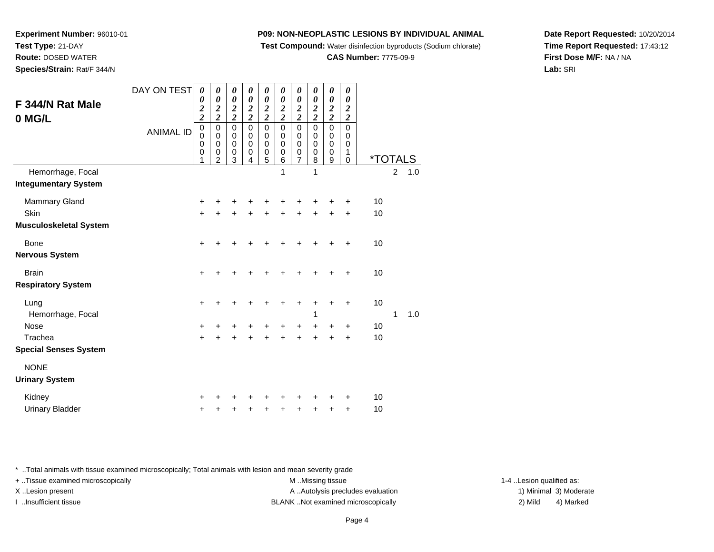**Test Compound:** Water disinfection byproducts (Sodium chlorate)

#### **CAS Number:** 7775-09-9

**Date Report Requested:** 10/20/2014**Time Report Requested:** 17:43:12**First Dose M/F:** NA / NA**Lab:** SRI

**Experiment Number:** 96010-01**Test Type:** 21-DAY **Route:** DOSED WATER**Species/Strain:** Rat/F 344/N

| F 344/N Rat Male                                                     | DAY ON TEST      | $\boldsymbol{\theta}$<br>0                                                                    | 0<br>$\boldsymbol{\theta}$                                           | $\boldsymbol{\theta}$<br>0                                                        | 0<br>0                                                     | 0<br>0                                                           | 0<br>0                                                                 | $\boldsymbol{\theta}$<br>0                                                 | 0<br>$\boldsymbol{\theta}$                                                                        | 0<br>$\boldsymbol{\theta}$                                             | 0<br>0                                           |                       |                |     |  |
|----------------------------------------------------------------------|------------------|-----------------------------------------------------------------------------------------------|----------------------------------------------------------------------|-----------------------------------------------------------------------------------|------------------------------------------------------------|------------------------------------------------------------------|------------------------------------------------------------------------|----------------------------------------------------------------------------|---------------------------------------------------------------------------------------------------|------------------------------------------------------------------------|--------------------------------------------------|-----------------------|----------------|-----|--|
| 0 MG/L                                                               | <b>ANIMAL ID</b> | $\boldsymbol{2}$<br>$\overline{\mathbf{c}}$<br>$\mathbf 0$<br>$\mathbf 0$<br>$\mathbf 0$<br>0 | $\frac{2}{2}$<br>$\mathbf 0$<br>$\mathbf 0$<br>$\mathbf 0$<br>0<br>2 | $\frac{2}{2}$<br>$\mathbf 0$<br>$\boldsymbol{0}$<br>$\mathbf 0$<br>$\pmb{0}$<br>3 | $\frac{2}{2}$<br>$\mathbf 0$<br>0<br>$\mathbf 0$<br>0<br>4 | $\frac{2}{2}$<br>$\mathsf 0$<br>0<br>$\pmb{0}$<br>$\pmb{0}$<br>5 | $\frac{2}{2}$<br>$\pmb{0}$<br>0<br>$\mathbf 0$<br>$\mathbf 0$<br>$\,6$ | $\frac{2}{2}$<br>$\mathbf 0$<br>$\pmb{0}$<br>$\mathbf 0$<br>$\pmb{0}$<br>7 | $\frac{2}{2}$<br>$\overline{0}$<br>$\begin{smallmatrix}0\\0\end{smallmatrix}$<br>$\mathbf 0$<br>8 | $\frac{2}{2}$<br>$\mathbf 0$<br>$\,0\,$<br>$\mathbf 0$<br>$\,0\,$<br>9 | $\frac{2}{2}$<br>$\mathbf 0$<br>0<br>0<br>1<br>0 | <i><b>*TOTALS</b></i> |                |     |  |
| Hemorrhage, Focal<br><b>Integumentary System</b>                     |                  |                                                                                               |                                                                      |                                                                                   |                                                            |                                                                  | 1                                                                      |                                                                            | 1                                                                                                 |                                                                        |                                                  |                       | $\overline{2}$ | 1.0 |  |
| <b>Mammary Gland</b><br><b>Skin</b><br><b>Musculoskeletal System</b> |                  | +<br>$\ddot{}$                                                                                |                                                                      |                                                                                   |                                                            |                                                                  | +                                                                      |                                                                            | +                                                                                                 | +                                                                      | ٠<br>+                                           | 10<br>10              |                |     |  |
| <b>Bone</b><br><b>Nervous System</b>                                 |                  | $\ddot{}$                                                                                     |                                                                      |                                                                                   |                                                            | +                                                                | ٠                                                                      | +                                                                          | +                                                                                                 | +                                                                      | +                                                | 10                    |                |     |  |
| <b>Brain</b><br><b>Respiratory System</b>                            |                  | $\ddot{}$                                                                                     |                                                                      |                                                                                   |                                                            |                                                                  | +                                                                      |                                                                            |                                                                                                   |                                                                        | +                                                | 10                    |                |     |  |
| Lung<br>Hemorrhage, Focal<br><b>Nose</b><br>Trachea                  |                  | $\ddot{}$                                                                                     |                                                                      |                                                                                   | ┿                                                          | +<br>+                                                           | +<br>٠                                                                 | +<br>+                                                                     | +<br>1<br>+                                                                                       | +<br>+                                                                 | +<br>+                                           | 10<br>10              | 1              | 1.0 |  |
| <b>Special Senses System</b>                                         |                  | +                                                                                             |                                                                      |                                                                                   |                                                            | +                                                                | +                                                                      |                                                                            |                                                                                                   |                                                                        | ٠                                                | 10                    |                |     |  |
| <b>NONE</b><br><b>Urinary System</b>                                 |                  |                                                                                               |                                                                      |                                                                                   |                                                            |                                                                  |                                                                        |                                                                            |                                                                                                   |                                                                        |                                                  |                       |                |     |  |
| Kidney<br><b>Urinary Bladder</b>                                     |                  | ٠                                                                                             |                                                                      |                                                                                   | ٠                                                          | +                                                                | +                                                                      | +                                                                          | +                                                                                                 | +                                                                      | +<br>+                                           | 10<br>10              |                |     |  |

\* ..Total animals with tissue examined microscopically; Total animals with lesion and mean severity grade

+ ..Tissue examined microscopically examined microscopically examined as:  $M$  ..Missing tissue 1-4 ..Lesion qualified as: X..Lesion present **A ..Autolysis precludes evaluation** A ..Autolysis precludes evaluation 1) Minimal 3) Moderate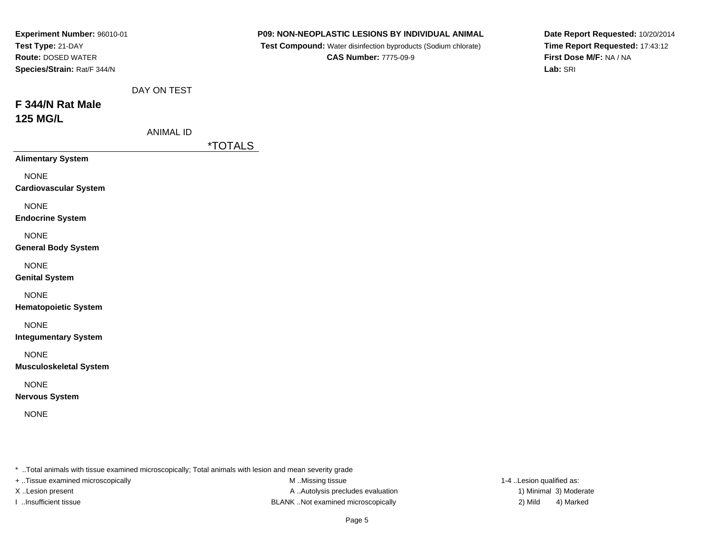| Experiment Number: 96010-01<br>Test Type: 21-DAY<br><b>Route: DOSED WATER</b><br>Species/Strain: Rat/F 344/N |                  | P09: NON-NEOPLASTIC LESIONS BY INDIVIDUAL ANIMAL<br>Test Compound: Water disinfection byproducts (Sodium chlorate)<br><b>CAS Number: 7775-09-9</b> | Date Report Requested: 10/20/2014<br>Time Report Requested: 17:43:12<br>First Dose M/F: NA / NA<br>Lab: SRI |
|--------------------------------------------------------------------------------------------------------------|------------------|----------------------------------------------------------------------------------------------------------------------------------------------------|-------------------------------------------------------------------------------------------------------------|
| F 344/N Rat Male<br><b>125 MG/L</b>                                                                          | DAY ON TEST      |                                                                                                                                                    |                                                                                                             |
|                                                                                                              | <b>ANIMAL ID</b> | <i><b>*TOTALS</b></i>                                                                                                                              |                                                                                                             |
| <b>Alimentary System</b>                                                                                     |                  |                                                                                                                                                    |                                                                                                             |
| <b>NONE</b><br><b>Cardiovascular System</b>                                                                  |                  |                                                                                                                                                    |                                                                                                             |
| <b>NONE</b><br><b>Endocrine System</b>                                                                       |                  |                                                                                                                                                    |                                                                                                             |
| <b>NONE</b><br><b>General Body System</b>                                                                    |                  |                                                                                                                                                    |                                                                                                             |
| <b>NONE</b><br><b>Genital System</b>                                                                         |                  |                                                                                                                                                    |                                                                                                             |
| <b>NONE</b><br><b>Hematopoietic System</b>                                                                   |                  |                                                                                                                                                    |                                                                                                             |
| <b>NONE</b><br><b>Integumentary System</b>                                                                   |                  |                                                                                                                                                    |                                                                                                             |
| <b>NONE</b><br><b>Musculoskeletal System</b>                                                                 |                  |                                                                                                                                                    |                                                                                                             |
| <b>NONE</b><br><b>Nervous System</b>                                                                         |                  |                                                                                                                                                    |                                                                                                             |
| <b>NONE</b>                                                                                                  |                  |                                                                                                                                                    |                                                                                                             |
|                                                                                                              |                  |                                                                                                                                                    |                                                                                                             |

- \* ..Total animals with tissue examined microscopically; Total animals with lesion and mean severity grade
- + ..Tissue examined microscopically
- 
- 

M ..Missing tissue X..Lesion present **A ..Autolysis precludes evaluation** A ..Autolysis precludes evaluation 1) Minimal 3) Moderate I ..Insufficient tissue BLANK ..Not examined microscopically 2) Mild 4) Marked

1-4 ..Lesion qualified as: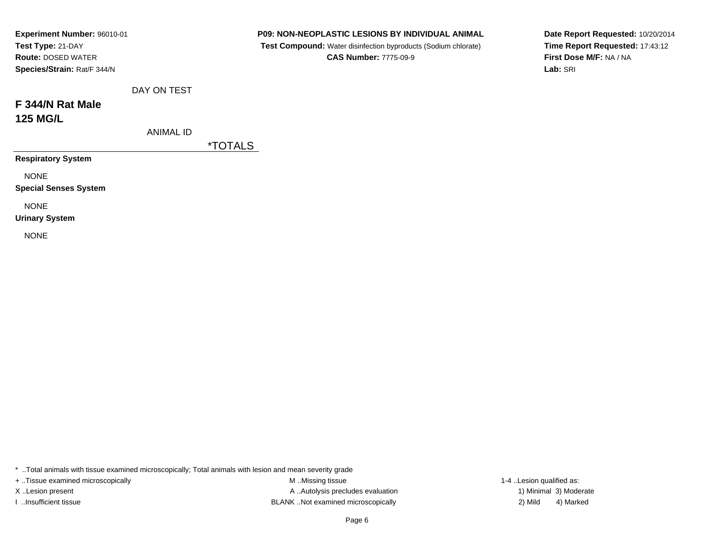| Experiment Number: 96010-01  |                  |                       | <b>P09: NON-NEOPLASTIC LESIONS BY INDIVIDUAL ANIMAL</b>        | Date Report Requested: 10/20/2014 |
|------------------------------|------------------|-----------------------|----------------------------------------------------------------|-----------------------------------|
| Test Type: 21-DAY            |                  |                       | Test Compound: Water disinfection byproducts (Sodium chlorate) | Time Report Requested: 17:43:12   |
| <b>Route: DOSED WATER</b>    |                  |                       | <b>CAS Number: 7775-09-9</b>                                   | First Dose M/F: NA / NA           |
| Species/Strain: Rat/F 344/N  |                  |                       |                                                                | Lab: SRI                          |
|                              | DAY ON TEST      |                       |                                                                |                                   |
| F 344/N Rat Male             |                  |                       |                                                                |                                   |
| <b>125 MG/L</b>              |                  |                       |                                                                |                                   |
|                              | <b>ANIMAL ID</b> |                       |                                                                |                                   |
|                              |                  | <i><b>*TOTALS</b></i> |                                                                |                                   |
| <b>Respiratory System</b>    |                  |                       |                                                                |                                   |
| <b>NONE</b>                  |                  |                       |                                                                |                                   |
| <b>Special Senses System</b> |                  |                       |                                                                |                                   |
| <b>NONE</b>                  |                  |                       |                                                                |                                   |
| <b>Urinary System</b>        |                  |                       |                                                                |                                   |
| <b>NONE</b>                  |                  |                       |                                                                |                                   |
|                              |                  |                       |                                                                |                                   |

\* ..Total animals with tissue examined microscopically; Total animals with lesion and mean severity grade

+ ..Tissue examined microscopically

M ..Missing tissue X..Lesion present **A ..Autolysis precludes evaluation** A ..Autolysis precludes evaluation 1) Minimal 3) Moderate I ..Insufficient tissue BLANK ..Not examined microscopically 2) Mild 4) Marked

1-4 ..Lesion qualified as: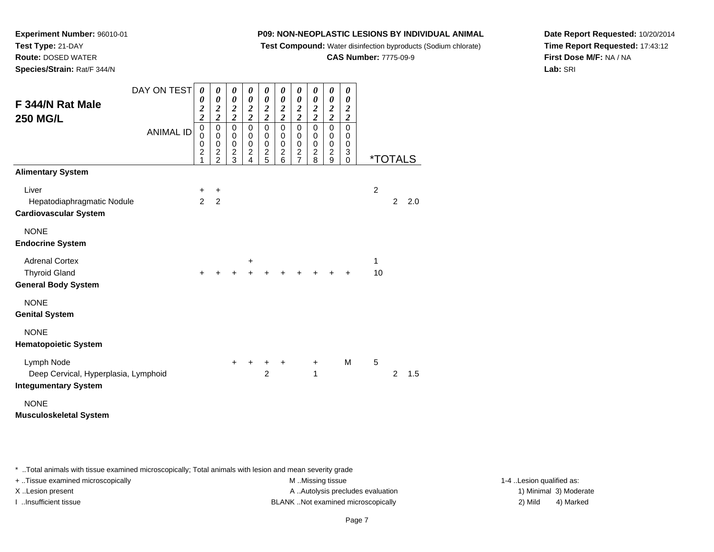**Test Compound:** Water disinfection byproducts (Sodium chlorate)

## **CAS Number:** 7775-09-9

**Date Report Requested:** 10/20/2014**Time Report Requested:** 17:43:12**First Dose M/F:** NA / NA**Lab:** SRI

**Experiment Number:** 96010-01**Test Type:** 21-DAY **Route:** DOSED WATER**Species/Strain:** Rat/F 344/N

| F 344/N Rat Male                                                            | DAY ON TEST      | $\boldsymbol{\theta}$<br>0<br>$\frac{2}{2}$     | 0<br>0<br>$\frac{2}{2}$                                   | 0<br>$\boldsymbol{\theta}$<br>$\frac{2}{2}$                                         | 0<br>0<br>$\frac{2}{2}$                                       | 0<br>0<br>$\frac{2}{2}$                         | 0<br>0<br>$\frac{2}{2}$                               | 0<br>$\boldsymbol{\theta}$<br>$\frac{2}{2}$                       | 0<br>$\boldsymbol{\theta}$<br>$\frac{2}{2}$    | 0<br>$\boldsymbol{\theta}$<br>$\frac{2}{2}$          | 0<br>0<br>$\boldsymbol{2}$<br>$\overline{2}$ |                |                |                       |
|-----------------------------------------------------------------------------|------------------|-------------------------------------------------|-----------------------------------------------------------|-------------------------------------------------------------------------------------|---------------------------------------------------------------|-------------------------------------------------|-------------------------------------------------------|-------------------------------------------------------------------|------------------------------------------------|------------------------------------------------------|----------------------------------------------|----------------|----------------|-----------------------|
| <b>250 MG/L</b>                                                             | <b>ANIMAL ID</b> | $\overline{0}$<br>0<br>0<br>$\overline{2}$<br>1 | $\mathbf 0$<br>0<br>0<br>$\overline{c}$<br>$\overline{2}$ | $\overline{0}$<br>$\mathbf 0$<br>$\begin{smallmatrix} 0\\ 2 \end{smallmatrix}$<br>3 | $\mathbf 0$<br>0<br>$\boldsymbol{0}$<br>$\boldsymbol{2}$<br>4 | $\overline{0}$<br>0<br>0<br>$\overline{c}$<br>5 | $\mathbf 0$<br>0<br>0<br>$\overline{\mathbf{c}}$<br>6 | $\mathbf 0$<br>0<br>$\,0\,$<br>$\boldsymbol{2}$<br>$\overline{7}$ | $\mathbf 0$<br>0<br>0<br>$\boldsymbol{2}$<br>8 | $\mathsf 0$<br>0<br>$\pmb{0}$<br>$\overline{c}$<br>9 | $\mathbf 0$<br>0<br>0<br>3<br>0              |                |                | <i><b>*TOTALS</b></i> |
| <b>Alimentary System</b>                                                    |                  |                                                 |                                                           |                                                                                     |                                                               |                                                 |                                                       |                                                                   |                                                |                                                      |                                              |                |                |                       |
| Liver<br>Hepatodiaphragmatic Nodule<br><b>Cardiovascular System</b>         |                  | +<br>$\overline{2}$                             | $\ddot{}$<br>$\overline{2}$                               |                                                                                     |                                                               |                                                 |                                                       |                                                                   |                                                |                                                      |                                              | $\overline{c}$ | $\overline{2}$ | 2.0                   |
| <b>NONE</b><br><b>Endocrine System</b>                                      |                  |                                                 |                                                           |                                                                                     |                                                               |                                                 |                                                       |                                                                   |                                                |                                                      |                                              |                |                |                       |
| <b>Adrenal Cortex</b><br><b>Thyroid Gland</b><br><b>General Body System</b> |                  | $\ddot{}$                                       | +                                                         | +                                                                                   | +<br>÷                                                        |                                                 |                                                       |                                                                   |                                                |                                                      | ÷                                            | 1<br>10        |                |                       |
| <b>NONE</b><br><b>Genital System</b>                                        |                  |                                                 |                                                           |                                                                                     |                                                               |                                                 |                                                       |                                                                   |                                                |                                                      |                                              |                |                |                       |
| <b>NONE</b><br><b>Hematopoietic System</b>                                  |                  |                                                 |                                                           |                                                                                     |                                                               |                                                 |                                                       |                                                                   |                                                |                                                      |                                              |                |                |                       |
| Lymph Node<br>Deep Cervical, Hyperplasia, Lymphoid                          |                  |                                                 |                                                           | $\pm$                                                                               | ÷                                                             | +<br>$\overline{2}$                             | +                                                     |                                                                   | $\ddot{}$<br>1                                 |                                                      | M                                            | 5              | $\overline{2}$ | 1.5                   |
| <b>Integumentary System</b>                                                 |                  |                                                 |                                                           |                                                                                     |                                                               |                                                 |                                                       |                                                                   |                                                |                                                      |                                              |                |                |                       |
| <b>NONE</b><br><b>Musculoskeletal System</b>                                |                  |                                                 |                                                           |                                                                                     |                                                               |                                                 |                                                       |                                                                   |                                                |                                                      |                                              |                |                |                       |

\* ..Total animals with tissue examined microscopically; Total animals with lesion and mean severity grade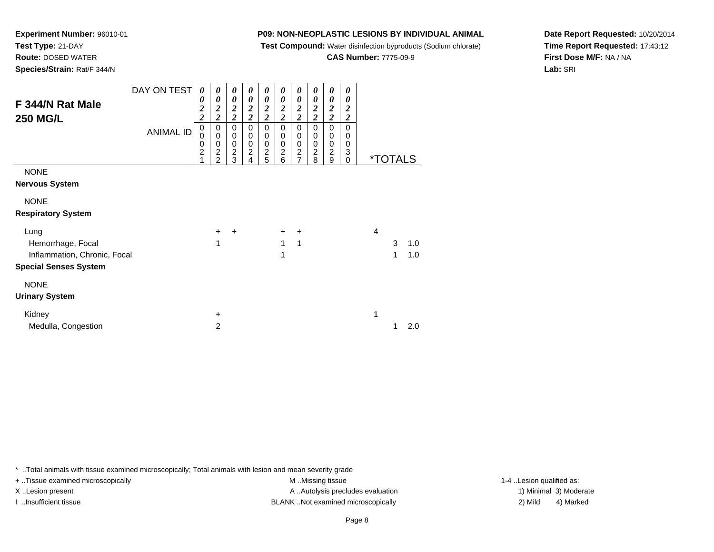**Test Compound:** Water disinfection byproducts (Sodium chlorate)

**CAS Number:** 7775-09-9

**Date Report Requested:** 10/20/2014**Time Report Requested:** 17:43:12**First Dose M/F:** NA / NA**Lab:** SRI

**Experiment Number:** 96010-01**Test Type:** 21-DAY **Route:** DOSED WATER**Species/Strain:** Rat/F 344/N

| F 344/N Rat Male<br><b>250 MG/L</b>                                                       | DAY ON TEST<br><b>ANIMAL ID</b> | 0<br>0<br>$\overline{\mathbf{c}}$<br>$\overline{c}$<br>$\mathbf 0$<br>0<br>0<br>$\overline{c}$ | 0<br>$\boldsymbol{\theta}$<br>$\boldsymbol{2}$<br>$\overline{\mathbf{c}}$<br>$\pmb{0}$<br>$\mathbf 0$<br>$\mathbf 0$<br>$\overline{2}$<br>$\overline{c}$ | 0<br>$\boldsymbol{\theta}$<br>$\boldsymbol{2}$<br>$\overline{\mathbf{c}}$<br>$\mathbf 0$<br>$\pmb{0}$<br>$\begin{smallmatrix} 0 \\ 2 \end{smallmatrix}$<br>3 | $\boldsymbol{\theta}$<br>$\boldsymbol{\theta}$<br>$\boldsymbol{2}$<br>$\overline{\mathbf{c}}$<br>$\mathsf 0$<br>$\pmb{0}$<br>$\begin{smallmatrix} 0 \\ 2 \end{smallmatrix}$<br>4 | 0<br>0<br>$\boldsymbol{2}$<br>$\overline{\mathbf{c}}$<br>$\pmb{0}$<br>$\mathbf 0$<br>$\pmb{0}$<br>$\overline{c}$<br>5 | $\boldsymbol{\theta}$<br>$\boldsymbol{\theta}$<br>$\boldsymbol{2}$<br>$\overline{\mathbf{c}}$<br>$\mathbf 0$<br>$\mathbf 0$<br>$\pmb{0}$<br>$\overline{2}$<br>6 | 0<br>0<br>$\boldsymbol{2}$<br>$\overline{\mathbf{c}}$<br>$\mathbf 0$<br>0<br>$\pmb{0}$<br>$\boldsymbol{2}$<br>$\overline{7}$ | 0<br>$\boldsymbol{\theta}$<br>$\boldsymbol{2}$<br>$\overline{c}$<br>0<br>0<br>$\,0\,$<br>$\boldsymbol{2}$<br>8 | 0<br>$\boldsymbol{\theta}$<br>$\boldsymbol{2}$<br>$\overline{\mathbf{c}}$<br>$\mathbf 0$<br>0<br>0<br>$\boldsymbol{2}$<br>9 | 0<br>0<br>$\boldsymbol{2}$<br>$\overline{\mathbf{c}}$<br>0<br>0<br>0<br>3<br>0 |                | <i><b>*TOTALS</b></i> |            |
|-------------------------------------------------------------------------------------------|---------------------------------|------------------------------------------------------------------------------------------------|----------------------------------------------------------------------------------------------------------------------------------------------------------|--------------------------------------------------------------------------------------------------------------------------------------------------------------|----------------------------------------------------------------------------------------------------------------------------------------------------------------------------------|-----------------------------------------------------------------------------------------------------------------------|-----------------------------------------------------------------------------------------------------------------------------------------------------------------|------------------------------------------------------------------------------------------------------------------------------|----------------------------------------------------------------------------------------------------------------|-----------------------------------------------------------------------------------------------------------------------------|--------------------------------------------------------------------------------|----------------|-----------------------|------------|
| <b>NONE</b><br><b>Nervous System</b><br><b>NONE</b>                                       |                                 |                                                                                                |                                                                                                                                                          |                                                                                                                                                              |                                                                                                                                                                                  |                                                                                                                       |                                                                                                                                                                 |                                                                                                                              |                                                                                                                |                                                                                                                             |                                                                                |                |                       |            |
| <b>Respiratory System</b>                                                                 |                                 |                                                                                                |                                                                                                                                                          |                                                                                                                                                              |                                                                                                                                                                                  |                                                                                                                       |                                                                                                                                                                 |                                                                                                                              |                                                                                                                |                                                                                                                             |                                                                                |                |                       |            |
| Lung<br>Hemorrhage, Focal<br>Inflammation, Chronic, Focal<br><b>Special Senses System</b> |                                 |                                                                                                | $\ddot{}$<br>1                                                                                                                                           | $\ddot{}$                                                                                                                                                    |                                                                                                                                                                                  |                                                                                                                       | $\ddot{}$<br>1<br>1                                                                                                                                             | +<br>$\mathbf{1}$                                                                                                            |                                                                                                                |                                                                                                                             |                                                                                | $\overline{4}$ | 3<br>1                | 1.0<br>1.0 |
| <b>NONE</b><br><b>Urinary System</b>                                                      |                                 |                                                                                                |                                                                                                                                                          |                                                                                                                                                              |                                                                                                                                                                                  |                                                                                                                       |                                                                                                                                                                 |                                                                                                                              |                                                                                                                |                                                                                                                             |                                                                                |                |                       |            |
| Kidney<br>Medulla, Congestion                                                             |                                 |                                                                                                | $\ddot{}$<br>$\overline{2}$                                                                                                                              |                                                                                                                                                              |                                                                                                                                                                                  |                                                                                                                       |                                                                                                                                                                 |                                                                                                                              |                                                                                                                |                                                                                                                             |                                                                                | 1              | 1                     | 2.0        |

\* ..Total animals with tissue examined microscopically; Total animals with lesion and mean severity grade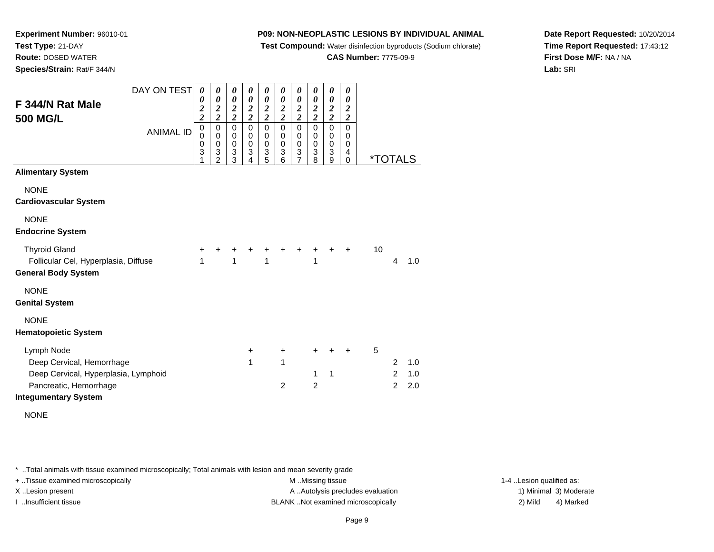**Test Compound:** Water disinfection byproducts (Sodium chlorate)

**CAS Number:** 7775-09-9

**Date Report Requested:** 10/20/2014**Time Report Requested:** 17:43:12**First Dose M/F:** NA / NA**Lab:** SRI

**Experiment Number:** 96010-01**Test Type:** 21-DAY **Route:** DOSED WATER**Species/Strain:** Rat/F 344/N

| F 344/N Rat Male<br>500 MG/L                                                                                                             | DAY ON TEST<br><b>ANIMAL ID</b> | 0<br>0<br>$\overline{\mathbf{c}}$<br>$\overline{\mathbf{c}}$<br>$\mathbf 0$<br>0<br>0 | $\boldsymbol{\theta}$<br>$\boldsymbol{\theta}$<br>$\frac{2}{2}$<br>$\pmb{0}$<br>$\pmb{0}$<br>0 | $\boldsymbol{\theta}$<br>$\boldsymbol{\theta}$<br>$\frac{2}{2}$<br>$\pmb{0}$<br>$\mathbf 0$<br>0 | $\boldsymbol{\theta}$<br>$\boldsymbol{\theta}$<br>$\frac{2}{2}$<br>$\pmb{0}$<br>0<br>$\mathbf 0$ | 0<br>$\boldsymbol{\theta}$<br>$\frac{2}{2}$<br>$\pmb{0}$<br>0<br>$\boldsymbol{0}$ | 0<br>$\boldsymbol{\theta}$<br>$\frac{2}{2}$<br>$\pmb{0}$<br>0<br>$\pmb{0}$ | $\boldsymbol{\theta}$<br>0<br>$\frac{2}{2}$<br>$\mathbf 0$<br>0<br>0 | $\pmb{\theta}$<br>$\boldsymbol{\theta}$<br>$\frac{2}{2}$<br>$\overline{0}$<br>$\boldsymbol{0}$ | 0<br>0<br>$\frac{2}{2}$<br>$\pmb{0}$<br>0<br>0 | $\boldsymbol{\theta}$<br>0<br>$\frac{2}{2}$<br>$\mathbf 0$<br>0<br>0 |    |                          |                   |  |
|------------------------------------------------------------------------------------------------------------------------------------------|---------------------------------|---------------------------------------------------------------------------------------|------------------------------------------------------------------------------------------------|--------------------------------------------------------------------------------------------------|--------------------------------------------------------------------------------------------------|-----------------------------------------------------------------------------------|----------------------------------------------------------------------------|----------------------------------------------------------------------|------------------------------------------------------------------------------------------------|------------------------------------------------|----------------------------------------------------------------------|----|--------------------------|-------------------|--|
|                                                                                                                                          |                                 | 3                                                                                     | 3<br>$\overline{2}$                                                                            | 3<br>$\overline{3}$                                                                              | 3<br>$\overline{4}$                                                                              | 3<br>5                                                                            | $\ensuremath{\mathsf{3}}$<br>6                                             | 3<br>$\overline{7}$                                                  | $\begin{array}{c} 0 \\ 3 \\ 8 \end{array}$                                                     | 3<br>9                                         | 4<br>0                                                               |    | <i><b>*TOTALS</b></i>    |                   |  |
| <b>Alimentary System</b>                                                                                                                 |                                 |                                                                                       |                                                                                                |                                                                                                  |                                                                                                  |                                                                                   |                                                                            |                                                                      |                                                                                                |                                                |                                                                      |    |                          |                   |  |
| <b>NONE</b><br><b>Cardiovascular System</b>                                                                                              |                                 |                                                                                       |                                                                                                |                                                                                                  |                                                                                                  |                                                                                   |                                                                            |                                                                      |                                                                                                |                                                |                                                                      |    |                          |                   |  |
| <b>NONE</b><br><b>Endocrine System</b>                                                                                                   |                                 |                                                                                       |                                                                                                |                                                                                                  |                                                                                                  |                                                                                   |                                                                            |                                                                      |                                                                                                |                                                |                                                                      |    |                          |                   |  |
| <b>Thyroid Gland</b><br>Follicular Cel, Hyperplasia, Diffuse<br><b>General Body System</b>                                               |                                 | +<br>1                                                                                | +                                                                                              | 1                                                                                                |                                                                                                  | 1                                                                                 | +                                                                          | +                                                                    | +<br>1                                                                                         | +                                              | $\ddot{}$                                                            | 10 | 4                        | 1.0               |  |
| <b>NONE</b><br><b>Genital System</b>                                                                                                     |                                 |                                                                                       |                                                                                                |                                                                                                  |                                                                                                  |                                                                                   |                                                                            |                                                                      |                                                                                                |                                                |                                                                      |    |                          |                   |  |
| <b>NONE</b><br><b>Hematopoietic System</b>                                                                                               |                                 |                                                                                       |                                                                                                |                                                                                                  |                                                                                                  |                                                                                   |                                                                            |                                                                      |                                                                                                |                                                |                                                                      |    |                          |                   |  |
| Lymph Node<br>Deep Cervical, Hemorrhage<br>Deep Cervical, Hyperplasia, Lymphoid<br>Pancreatic, Hemorrhage<br><b>Integumentary System</b> |                                 |                                                                                       |                                                                                                |                                                                                                  | $\ddot{}$<br>1                                                                                   |                                                                                   | $\ddot{}$<br>1<br>$\overline{2}$                                           |                                                                      | $\pm$<br>1<br>$\overline{c}$                                                                   | ٠<br>$\mathbf 1$                               | $\ddot{}$                                                            | 5  | 2<br>2<br>$\overline{2}$ | 1.0<br>1.0<br>2.0 |  |

NONE

\* ..Total animals with tissue examined microscopically; Total animals with lesion and mean severity grade

+ ..Tissue examined microscopically examined microscopically examined as:  $M$  ..Missing tissue 1-4 ..Lesion qualified as: X..Lesion present **A ..Autolysis precludes evaluation** A ..Autolysis precludes evaluation 1) Minimal 3) Moderate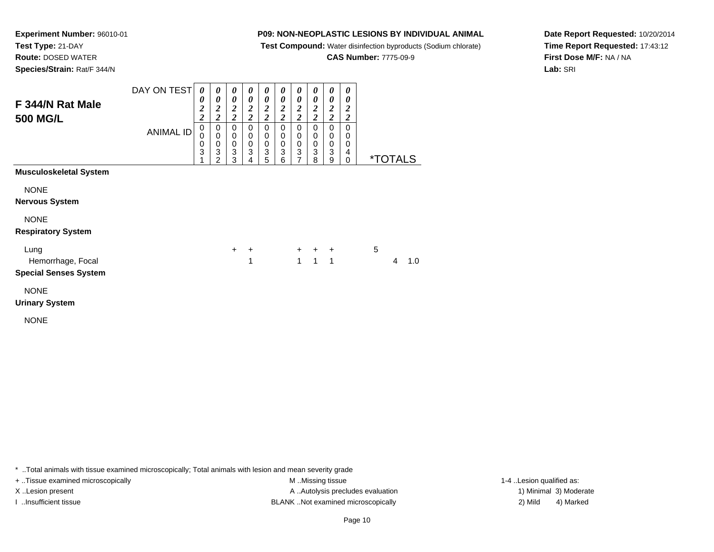**Test Compound:** Water disinfection byproducts (Sodium chlorate)

**CAS Number:** 7775-09-9

**Date Report Requested:** 10/20/2014**Time Report Requested:** 17:43:12**First Dose M/F:** NA / NA**Lab:** SRI

**Experiment Number:** 96010-01**Test Type:** 21-DAY **Route:** DOSED WATER**Species/Strain:** Rat/F 344/N

|                                          | DAY ON TEST      | 0<br>0                             | 0<br>0                          | 0<br>0                                             | 0<br>0                                                                    | $\boldsymbol{\theta}$<br>0      | $\boldsymbol{\theta}$<br>$\boldsymbol{\theta}$ | 0<br>0                  | 0<br>0                                  | 0<br>0                                        | 0<br>0                                      |   |                       |     |  |
|------------------------------------------|------------------|------------------------------------|---------------------------------|----------------------------------------------------|---------------------------------------------------------------------------|---------------------------------|------------------------------------------------|-------------------------|-----------------------------------------|-----------------------------------------------|---------------------------------------------|---|-----------------------|-----|--|
| F 344/N Rat Male<br>500 MG/L             |                  | $\boldsymbol{2}$<br>$\overline{2}$ | $\frac{2}{2}$                   | $\frac{2}{2}$                                      | $\frac{2}{2}$                                                             | $\frac{2}{2}$                   | $\frac{2}{2}$                                  | $\frac{2}{2}$           | $\frac{2}{2}$                           | $\frac{2}{2}$                                 | $\boldsymbol{2}$<br>$\overline{\mathbf{c}}$ |   |                       |     |  |
|                                          | <b>ANIMAL ID</b> | 0<br>0<br>0<br>3                   | 0<br>$\mathbf 0$<br>0<br>3<br>2 | 0<br>$\pmb{0}$<br>$\pmb{0}$<br>$\overline{3}$<br>3 | $\mathbf 0$<br>$\mathbf 0$<br>$\pmb{0}$<br>$\ensuremath{\mathsf{3}}$<br>4 | 0<br>$\mathbf 0$<br>$_3^0$<br>5 | $\mathbf 0$<br>$\mathbf 0$<br>$_3^0$<br>6      | 0<br>0<br>$\frac{0}{3}$ | $\mathbf 0$<br>$\pmb{0}$<br>$_3^0$<br>8 | 0<br>0<br>0<br>$\ensuremath{\mathsf{3}}$<br>9 | 0<br>0<br>0<br>4<br>0                       |   | <i><b>*TOTALS</b></i> |     |  |
| <b>Musculoskeletal System</b>            |                  |                                    |                                 |                                                    |                                                                           |                                 |                                                |                         |                                         |                                               |                                             |   |                       |     |  |
| <b>NONE</b><br><b>Nervous System</b>     |                  |                                    |                                 |                                                    |                                                                           |                                 |                                                |                         |                                         |                                               |                                             |   |                       |     |  |
| <b>NONE</b><br><b>Respiratory System</b> |                  |                                    |                                 |                                                    |                                                                           |                                 |                                                |                         |                                         |                                               |                                             |   |                       |     |  |
| Lung                                     |                  |                                    |                                 | $\ddot{}$                                          | $\ddot{}$                                                                 |                                 |                                                |                         | $+$ $+$ $+$                             |                                               |                                             | 5 |                       |     |  |
| Hemorrhage, Focal                        |                  |                                    |                                 |                                                    | 1                                                                         |                                 |                                                | $\mathbf{1}$            | $\mathbf{1}$                            | $\mathbf{1}$                                  |                                             |   | 4                     | 1.0 |  |
| <b>Special Senses System</b>             |                  |                                    |                                 |                                                    |                                                                           |                                 |                                                |                         |                                         |                                               |                                             |   |                       |     |  |
| <b>NONE</b>                              |                  |                                    |                                 |                                                    |                                                                           |                                 |                                                |                         |                                         |                                               |                                             |   |                       |     |  |
|                                          |                  |                                    |                                 |                                                    |                                                                           |                                 |                                                |                         |                                         |                                               |                                             |   |                       |     |  |

**Urinary System**

NONE

\* ..Total animals with tissue examined microscopically; Total animals with lesion and mean severity grade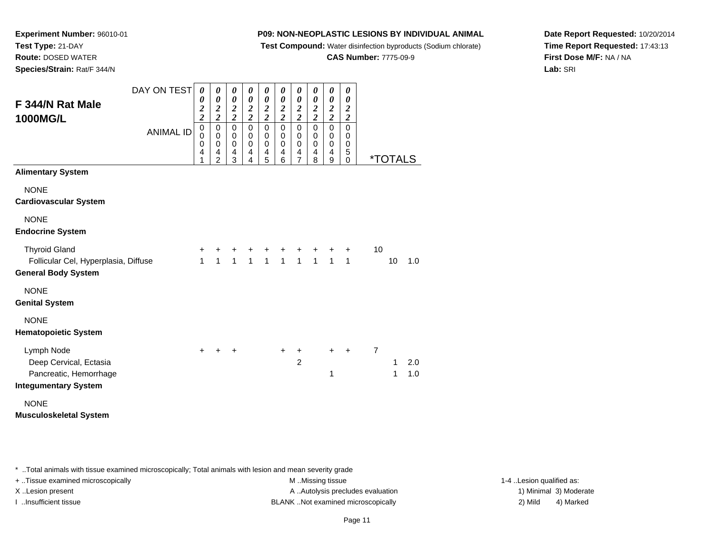**Test Compound:** Water disinfection byproducts (Sodium chlorate)

**CAS Number:** 7775-09-9

**Date Report Requested:** 10/20/2014**Time Report Requested:** 17:43:13**First Dose M/F:** NA / NA**Lab:** SRI

**Experiment Number:** 96010-01**Test Type:** 21-DAY **Route:** DOSED WATER**Species/Strain:** Rat/F 344/N

| F 344/N Rat Male<br>1000MG/L                                                                  | DAY ON TEST      | 0<br>0<br>$\frac{2}{2}$    | 0<br>$\pmb{\theta}$<br>$\frac{2}{2}$  | 0<br>$\pmb{\theta}$<br>$\frac{2}{2}$                                | 0<br>$\boldsymbol{\theta}$<br>$\frac{2}{2}$         | 0<br>$\boldsymbol{\theta}$<br>$\frac{2}{2}$     | 0<br>$\boldsymbol{\theta}$<br>$\frac{2}{2}$                            | 0<br>0<br>$\frac{2}{2}$                         | 0<br>$\boldsymbol{\theta}$<br>$\frac{2}{2}$ | 0<br>$\boldsymbol{\theta}$<br>$\frac{2}{2}$                  | 0<br>0<br>$\frac{2}{2}$         |                |                       |            |
|-----------------------------------------------------------------------------------------------|------------------|----------------------------|---------------------------------------|---------------------------------------------------------------------|-----------------------------------------------------|-------------------------------------------------|------------------------------------------------------------------------|-------------------------------------------------|---------------------------------------------|--------------------------------------------------------------|---------------------------------|----------------|-----------------------|------------|
|                                                                                               | <b>ANIMAL ID</b> | 0<br>$\mathbf 0$<br>0<br>4 | $\pmb{0}$<br>$\pmb{0}$<br>0<br>4<br>2 | $\pmb{0}$<br>$\pmb{0}$<br>$\pmb{0}$<br>$\overline{\mathbf{4}}$<br>3 | $\mathbf 0$<br>$\mathbf 0$<br>$\mathbf 0$<br>4<br>4 | $\mathbf 0$<br>$\pmb{0}$<br>$\pmb{0}$<br>4<br>5 | $\mbox{O}$<br>$\mathbf 0$<br>$\pmb{0}$<br>$\overline{\mathbf{4}}$<br>6 | $\mathbf 0$<br>$\pmb{0}$<br>$\pmb{0}$<br>4<br>7 | $\mathbf 0$<br>0<br>$\mathbf 0$<br>4<br>8   | $\pmb{0}$<br>$\mathbf 0$<br>$\pmb{0}$<br>$\overline{4}$<br>9 | $\mathbf 0$<br>0<br>0<br>5<br>0 |                | <i><b>*TOTALS</b></i> |            |
| <b>Alimentary System</b>                                                                      |                  |                            |                                       |                                                                     |                                                     |                                                 |                                                                        |                                                 |                                             |                                                              |                                 |                |                       |            |
| <b>NONE</b><br><b>Cardiovascular System</b>                                                   |                  |                            |                                       |                                                                     |                                                     |                                                 |                                                                        |                                                 |                                             |                                                              |                                 |                |                       |            |
| <b>NONE</b><br><b>Endocrine System</b>                                                        |                  |                            |                                       |                                                                     |                                                     |                                                 |                                                                        |                                                 |                                             |                                                              |                                 |                |                       |            |
| <b>Thyroid Gland</b><br>Follicular Cel, Hyperplasia, Diffuse<br><b>General Body System</b>    |                  | +<br>1                     | 1                                     | $\mathbf{1}$                                                        | $\mathbf{1}$                                        | $\mathbf{1}$                                    | $\overline{1}$                                                         | $\overline{1}$                                  | $\overline{1}$                              | $\overline{1}$                                               | $\ddot{}$<br>$\mathbf{1}$       | 10             | 10                    | 1.0        |
| <b>NONE</b><br><b>Genital System</b>                                                          |                  |                            |                                       |                                                                     |                                                     |                                                 |                                                                        |                                                 |                                             |                                                              |                                 |                |                       |            |
| <b>NONE</b><br><b>Hematopoietic System</b>                                                    |                  |                            |                                       |                                                                     |                                                     |                                                 |                                                                        |                                                 |                                             |                                                              |                                 |                |                       |            |
| Lymph Node<br>Deep Cervical, Ectasia<br>Pancreatic, Hemorrhage<br><b>Integumentary System</b> |                  | $\pm$                      | +                                     | ÷                                                                   |                                                     |                                                 | $\ddot{}$                                                              | $\mathbf +$<br>$\overline{2}$                   |                                             | $\ddot{}$<br>1                                               | $\ddot{}$                       | $\overline{7}$ | 1<br>1                | 2.0<br>1.0 |
| <b>NONE</b><br><b>Musculoskeletal System</b>                                                  |                  |                            |                                       |                                                                     |                                                     |                                                 |                                                                        |                                                 |                                             |                                                              |                                 |                |                       |            |

\* ..Total animals with tissue examined microscopically; Total animals with lesion and mean severity grade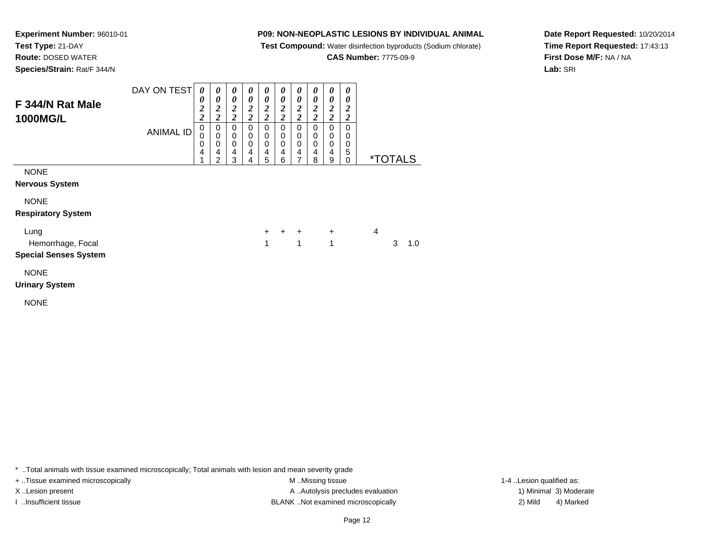**Test Compound:** Water disinfection byproducts (Sodium chlorate)

**CAS Number:** 7775-09-9

**Date Report Requested:** 10/20/2014**Time Report Requested:** 17:43:13**First Dose M/F:** NA / NA**Lab:** SRI

**Experiment Number:** 96010-01**Test Type:** 21-DAY **Route:** DOSED WATER**Species/Strain:** Rat/F 344/N

| F 344/N Rat Male<br><b>1000MG/L</b>      | DAY ON TEST<br>ANIMAL ID | 0<br>$\boldsymbol{\theta}$<br>$\boldsymbol{2}$<br>2<br>0<br>0<br>0<br>4 | 0<br>0<br>2<br>2<br>0<br>0<br>0<br>4<br>າ | 0<br>0<br>2<br>$\overline{2}$<br>0<br>0<br>0<br>4<br>3 | $\boldsymbol{\theta}$<br>0<br>2<br>າ<br>∠<br>0<br>0<br>0<br>4<br>4 | 0<br>0<br>2<br>2<br>0<br>0<br>0<br>4<br>5 | $\boldsymbol{v}$<br>0<br>∍<br>4<br>ኅ<br>0<br>0<br>0<br>4<br>6 | 0<br>0<br>2<br>∍<br>0<br>0<br>0<br>4 | $\theta$<br>$\boldsymbol{\theta}$<br>2<br>0<br>$\Omega$<br>4<br>8 | $\boldsymbol{\theta}$<br>0<br>2<br>0<br>0<br>4<br>9 | 0<br>0<br>2<br>2<br>0<br>0<br>0<br>5<br>0 | <i><b>*TOTALS</b></i> |
|------------------------------------------|--------------------------|-------------------------------------------------------------------------|-------------------------------------------|--------------------------------------------------------|--------------------------------------------------------------------|-------------------------------------------|---------------------------------------------------------------|--------------------------------------|-------------------------------------------------------------------|-----------------------------------------------------|-------------------------------------------|-----------------------|
| <b>NONE</b>                              |                          |                                                                         |                                           |                                                        |                                                                    |                                           |                                                               |                                      |                                                                   |                                                     |                                           |                       |
| <b>Nervous System</b>                    |                          |                                                                         |                                           |                                                        |                                                                    |                                           |                                                               |                                      |                                                                   |                                                     |                                           |                       |
| <b>NONE</b><br><b>Respiratory System</b> |                          |                                                                         |                                           |                                                        |                                                                    |                                           |                                                               |                                      |                                                                   |                                                     |                                           |                       |

| Lung                                             |  | $+$ $+$ $+$ $+$ |  |       |
|--------------------------------------------------|--|-----------------|--|-------|
| Hemorrhage, Focal                                |  | 1 1 1           |  | 3 1.0 |
| $\sim$ $\sim$ $\sim$ $\sim$ $\sim$ $\sim$ $\sim$ |  |                 |  |       |

## **Special Senses System**

NONE

**Urinary System**

NONE

\* ..Total animals with tissue examined microscopically; Total animals with lesion and mean severity grade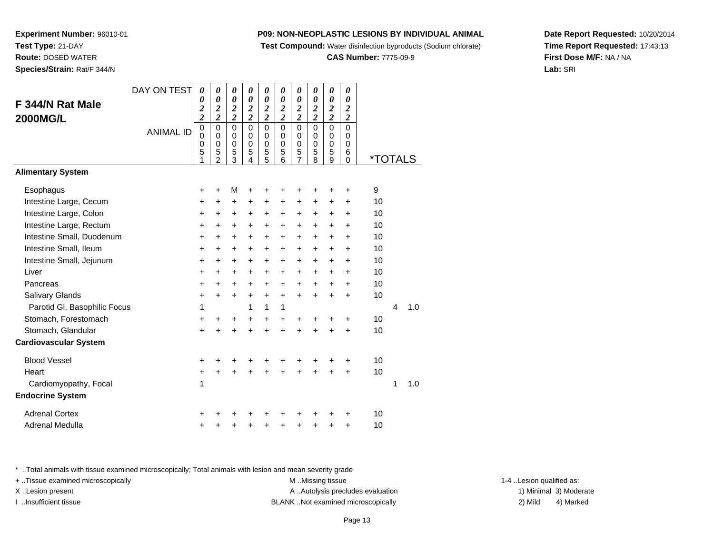**Test Compound:** Water disinfection byproducts (Sodium chlorate)

## **CAS Number:** 7775-09-9

**Date Report Requested:** 10/20/2014**Time Report Requested:** 17:43:13**First Dose M/F:** NA / NA**Lab:** SRI

**Experiment Number:** 96010-01**Test Type:** 21-DAY **Route:** DOSED WATER**Species/Strain:** Rat/F 344/N

|                              | DAY ON TEST      | $\boldsymbol{\theta}$        | 0                        | 0                       | $\boldsymbol{\theta}$                            | 0                            | $\boldsymbol{\theta}$                     | 0                                       | 0                                         | 0                       | 0                       |                       |   |     |
|------------------------------|------------------|------------------------------|--------------------------|-------------------------|--------------------------------------------------|------------------------------|-------------------------------------------|-----------------------------------------|-------------------------------------------|-------------------------|-------------------------|-----------------------|---|-----|
| F 344/N Rat Male             |                  | 0<br>$\overline{\mathbf{c}}$ | 0<br>$\overline{2}$      | 0<br>$\overline{2}$     | $\boldsymbol{\theta}$<br>$\overline{\mathbf{c}}$ | 0<br>$\overline{\mathbf{c}}$ | $\boldsymbol{\theta}$<br>$\boldsymbol{2}$ | $\boldsymbol{\theta}$<br>$\overline{2}$ | $\boldsymbol{\theta}$<br>$\boldsymbol{2}$ | 0<br>$\boldsymbol{2}$   | 0<br>2                  |                       |   |     |
| <b>2000MG/L</b>              |                  | $\overline{\mathbf{c}}$      | $\overline{\mathbf{c}}$  | $\overline{\mathbf{c}}$ | $\overline{2}$                                   | $\overline{\mathbf{c}}$      | $\overline{c}$                            | $\overline{\mathbf{c}}$                 | $\overline{c}$                            | $\overline{\mathbf{c}}$ | $\overline{\mathbf{c}}$ |                       |   |     |
|                              | <b>ANIMAL ID</b> | $\pmb{0}$<br>0               | $\pmb{0}$<br>$\mathbf 0$ | $\mathbf 0$<br>0        | $\overline{0}$<br>0                              | $\mathbf 0$<br>0             | $\mathbf 0$<br>0                          | $\mathbf 0$<br>0                        | $\mathbf 0$<br>0                          | $\overline{0}$<br>0     | $\mathbf 0$<br>0        |                       |   |     |
|                              |                  | $\mathbf 0$                  | $\mathbf 0$              | $\mathbf 0$             | $\mathbf 0$                                      | 0                            | $\mathbf 0$                               | $\mathbf 0$                             | $\mathbf 0$                               | $\mathbf 0$             | $\mathbf 0$             |                       |   |     |
|                              |                  | 5<br>1                       | 5<br>$\overline{2}$      | 5<br>3                  | 5<br>4                                           | 5<br>5                       | 5<br>6                                    | 5<br>$\overline{7}$                     | 5<br>8                                    | 5<br>9                  | 6<br>$\pmb{0}$          | <i><b>*TOTALS</b></i> |   |     |
| <b>Alimentary System</b>     |                  |                              |                          |                         |                                                  |                              |                                           |                                         |                                           |                         |                         |                       |   |     |
| Esophagus                    |                  | +                            | $\ddot{}$                | M                       | +                                                | +                            | +                                         | +                                       | +                                         | +                       | +                       | 9                     |   |     |
| Intestine Large, Cecum       |                  | +                            | +                        | +                       | +                                                | +                            | +                                         | +                                       | +                                         | +                       | +                       | 10                    |   |     |
| Intestine Large, Colon       |                  | $\ddot{}$                    | $\ddot{}$                | $\ddot{}$               | $\ddot{}$                                        | +                            | $\ddot{}$                                 | $\ddot{}$                               | $\ddot{}$                                 | $\ddot{}$               | $\ddot{}$               | 10                    |   |     |
| Intestine Large, Rectum      |                  | $\ddot{}$                    | $\ddot{}$                | +                       | +                                                | $\ddot{}$                    | $\ddot{}$                                 | $\ddot{}$                               | $\ddot{}$                                 | $\ddot{}$               | $\ddot{}$               | 10                    |   |     |
| Intestine Small, Duodenum    |                  | +                            | $\ddot{}$                | +                       | +                                                | $\ddot{}$                    | $\ddot{}$                                 | $\ddot{}$                               | $\ddot{}$                                 | $\pm$                   | $\ddot{}$               | 10                    |   |     |
| Intestine Small, Ileum       |                  | $\ddot{}$                    | $\ddot{}$                | $\ddot{}$               | $\ddot{}$                                        | +                            | $\ddot{}$                                 | $\ddot{}$                               | $\ddot{}$                                 | $\pm$                   | +                       | 10                    |   |     |
| Intestine Small, Jejunum     |                  | $\ddot{}$                    | $+$                      | +                       | $\ddot{}$                                        | $\ddot{}$                    | $\ddot{}$                                 | $\ddot{}$                               | $\ddot{}$                                 | $\ddot{}$               | $\ddot{}$               | 10                    |   |     |
| Liver                        |                  | $\ddot{}$                    | $\ddot{}$                | $\ddot{}$               | $\ddot{}$                                        | $\ddot{}$                    | $\ddot{}$                                 | $\ddot{}$                               | $\ddot{}$                                 | $\ddot{}$               | $\ddot{}$               | 10                    |   |     |
| Pancreas                     |                  | $\ddot{}$                    | +                        | $\ddot{}$               | $\ddot{}$                                        | $\ddot{}$                    | $\ddot{}$                                 | $\ddot{}$                               | $\ddot{}$                                 | $\ddot{}$               | +                       | 10                    |   |     |
| Salivary Glands              |                  | $\ddot{}$                    | $+$                      | $\ddot{}$               | $\ddot{}$                                        | $\ddot{}$                    | $\ddot{}$                                 | $+$                                     | $\ddot{}$                                 | $\ddot{}$               | $\ddot{}$               | 10                    |   |     |
| Parotid GI, Basophilic Focus |                  | 1                            |                          |                         | 1                                                | 1                            | 1                                         |                                         |                                           |                         |                         |                       | 4 | 1.0 |
| Stomach, Forestomach         |                  | $\ddot{}$                    | $\pm$                    | +                       | $\ddot{}$                                        | $\ddot{}$                    | $\ddot{}$                                 | $\ddot{}$                               | +                                         | +                       | $\ddot{}$               | 10                    |   |     |
| Stomach, Glandular           |                  | $\ddot{}$                    |                          | $\ddot{}$               | $\ddot{}$                                        | $\ddot{}$                    | $\ddot{}$                                 |                                         | $\ddot{}$                                 | $\ddot{}$               | $\ddot{}$               | 10                    |   |     |
| <b>Cardiovascular System</b> |                  |                              |                          |                         |                                                  |                              |                                           |                                         |                                           |                         |                         |                       |   |     |
| <b>Blood Vessel</b>          |                  | +                            | +                        | +                       | +                                                | +                            | +                                         | +                                       | +                                         |                         | +                       | 10                    |   |     |
| Heart                        |                  | +                            | Ŧ.                       | $\ddot{}$               |                                                  |                              |                                           |                                         | $\ddot{}$                                 | $\ddot{}$               | $\ddot{}$               | 10                    |   |     |
| Cardiomyopathy, Focal        |                  | 1                            |                          |                         |                                                  |                              |                                           |                                         |                                           |                         |                         |                       | 1 | 1.0 |
| <b>Endocrine System</b>      |                  |                              |                          |                         |                                                  |                              |                                           |                                         |                                           |                         |                         |                       |   |     |
| <b>Adrenal Cortex</b>        |                  |                              |                          |                         |                                                  |                              |                                           |                                         | ٠                                         |                         | $\ddot{}$               | 10                    |   |     |
| Adrenal Medulla              |                  | +                            |                          | +                       | +                                                | +                            | +                                         | +                                       | +                                         | +                       | $\ddot{}$               | 10                    |   |     |

\* ..Total animals with tissue examined microscopically; Total animals with lesion and mean severity grade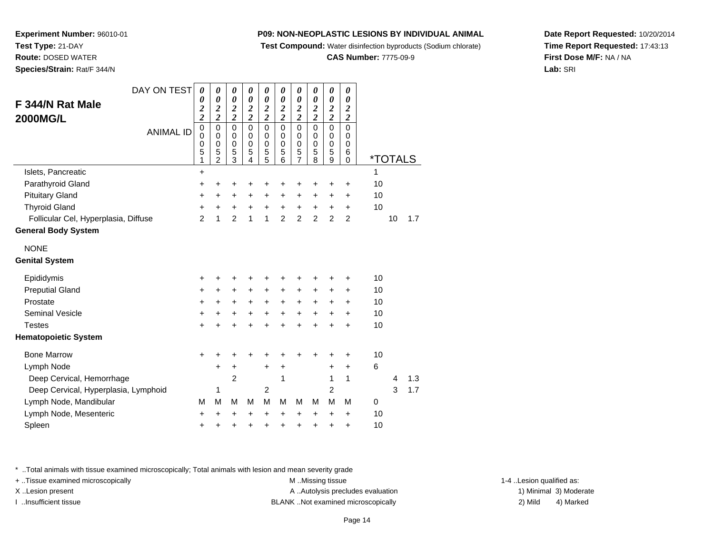**Test Compound:** Water disinfection byproducts (Sodium chlorate)

#### **CAS Number:** 7775-09-9

**Date Report Requested:** 10/20/2014**Time Report Requested:** 17:43:13**First Dose M/F:** NA / NA**Lab:** SRI

**Experiment Number:** 96010-01**Test Type:** 21-DAY **Route:** DOSED WATER**Species/Strain:** Rat/F 344/N

| DAY ON TEST                          | $\boldsymbol{\theta}$                     | 0                          | 0                          | 0                          | 0                        | 0                          | 0                        | 0                          | 0                          | 0                                           |                       |  |
|--------------------------------------|-------------------------------------------|----------------------------|----------------------------|----------------------------|--------------------------|----------------------------|--------------------------|----------------------------|----------------------------|---------------------------------------------|-----------------------|--|
| F 344/N Rat Male                     | 0                                         | $\boldsymbol{\theta}$      | 0                          | 0                          | $\boldsymbol{\theta}$    | $\boldsymbol{\theta}$      | 0                        | $\boldsymbol{\theta}$      | $\boldsymbol{\theta}$      | $\boldsymbol{\theta}$                       |                       |  |
| <b>2000MG/L</b>                      | $\overline{\mathbf{c}}$<br>$\overline{c}$ | $\frac{2}{2}$              | $\frac{2}{2}$              | $\frac{2}{2}$              | $\frac{2}{2}$            | $\frac{2}{2}$              | $\frac{2}{2}$            | $\frac{2}{2}$              | $\frac{2}{2}$              | $\boldsymbol{2}$<br>$\overline{\mathbf{c}}$ |                       |  |
| <b>ANIMAL ID</b>                     | $\pmb{0}$                                 | $\mathbf 0$                | $\mathbf 0$                | $\mathbf 0$                | $\mathbf 0$              | $\overline{0}$             | $\mathbf 0$              | $\overline{0}$             | $\mathbf 0$                | $\mathbf 0$                                 |                       |  |
|                                      | $\mathbf 0$<br>0                          | $\mathbf 0$<br>$\mathbf 0$ | $\mathbf 0$<br>$\mathbf 0$ | $\mathbf 0$<br>$\mathbf 0$ | $\pmb{0}$<br>$\mathbf 0$ | $\mathbf 0$<br>$\mathbf 0$ | $\pmb{0}$<br>$\mathbf 0$ | $\mathbf 0$<br>$\mathbf 0$ | $\mathbf 0$<br>$\mathbf 0$ | 0<br>$\mathbf 0$                            |                       |  |
|                                      | 5<br>1                                    | 5<br>$\overline{2}$        | 5<br>$\overline{3}$        | 5<br>$\overline{4}$        | 5<br>5                   | 5<br>6                     | 5<br>$\overline{7}$      | 5<br>8                     | 5<br>$\overline{9}$        | 6<br>$\mathbf 0$                            | <i><b>*TOTALS</b></i> |  |
| Islets, Pancreatic                   | $\ddot{}$                                 |                            |                            |                            |                          |                            |                          |                            |                            |                                             | 1                     |  |
| Parathyroid Gland                    | +                                         | $\ddot{}$                  | $\ddot{}$                  | +                          | +                        | +                          | +                        | +                          | +                          | +                                           | 10                    |  |
| <b>Pituitary Gland</b>               | +                                         | +                          | +                          | $\ddot{}$                  | $\pm$                    | +                          | +                        | +                          | $\ddot{}$                  | +                                           | 10                    |  |
| <b>Thyroid Gland</b>                 | +                                         | +                          | +                          | +                          | $\ddot{}$                | +                          | $\ddot{}$                | $\ddot{}$                  | +                          | +                                           | 10                    |  |
| Follicular Cel, Hyperplasia, Diffuse | $\mathfrak{p}$                            | 1                          | $\mathfrak{p}$             | 1                          | $\mathbf{1}$             | $\overline{2}$             | $\overline{2}$           | $\overline{2}$             | $\overline{2}$             | $\overline{2}$                              | 10<br>1.7             |  |
| <b>General Body System</b>           |                                           |                            |                            |                            |                          |                            |                          |                            |                            |                                             |                       |  |
| <b>NONE</b>                          |                                           |                            |                            |                            |                          |                            |                          |                            |                            |                                             |                       |  |
| <b>Genital System</b>                |                                           |                            |                            |                            |                          |                            |                          |                            |                            |                                             |                       |  |
| Epididymis                           | +                                         | +                          | +                          | ٠                          |                          |                            | +                        | +                          | +                          | +                                           | 10                    |  |
| <b>Preputial Gland</b>               | +                                         | $\pm$                      | $\ddot{}$                  | $\ddot{}$                  | $\pm$                    | +                          | +                        | +                          | $\ddot{}$                  | $\ddot{}$                                   | 10                    |  |
| Prostate                             | $\ddot{}$                                 | +                          | $\ddot{}$                  | $\ddot{}$                  | $\ddot{}$                | $\ddot{}$                  | $\ddot{}$                | $\ddot{}$                  | +                          | +                                           | 10                    |  |
| Seminal Vesicle                      | $\ddot{}$                                 | $\ddot{}$                  | +                          | +                          | +                        | $\ddot{}$                  | +                        | $\ddot{}$                  | +                          | +                                           | 10                    |  |
| <b>Testes</b>                        | $\ddot{}$                                 | $\ddot{}$                  | $\ddot{}$                  | +                          | +                        | ÷                          | $\ddot{}$                | $\ddot{}$                  | +                          | $\div$                                      | 10                    |  |
| <b>Hematopoietic System</b>          |                                           |                            |                            |                            |                          |                            |                          |                            |                            |                                             |                       |  |
| <b>Bone Marrow</b>                   | +                                         | +                          | +                          |                            |                          | +                          | +                        |                            | +                          | +                                           | 10                    |  |
| Lymph Node                           |                                           | $\pm$                      | +                          |                            | +                        | +                          |                          |                            | +                          | $\ddot{}$                                   | 6                     |  |
| Deep Cervical, Hemorrhage            |                                           |                            | 2                          |                            |                          | 1                          |                          |                            | 1                          | 1                                           | 1.3<br>4              |  |
| Deep Cervical, Hyperplasia, Lymphoid |                                           | 1                          |                            |                            | $\overline{2}$           |                            |                          |                            | 2                          |                                             | 3<br>1.7              |  |
| Lymph Node, Mandibular               | M                                         | M                          | M                          | M                          | M                        | M                          | M                        | M                          | M                          | м                                           | 0                     |  |
| Lymph Node, Mesenteric               | +                                         | +                          | +                          | +                          | +                        | +                          | +                        | +                          | $\ddot{}$                  | $\ddot{}$                                   | 10                    |  |
| Spleen                               | +                                         | +                          | +                          | ٠                          | +                        | +                          | +                        | $\ddot{}$                  | +                          | $\ddot{}$                                   | 10                    |  |

\* ..Total animals with tissue examined microscopically; Total animals with lesion and mean severity grade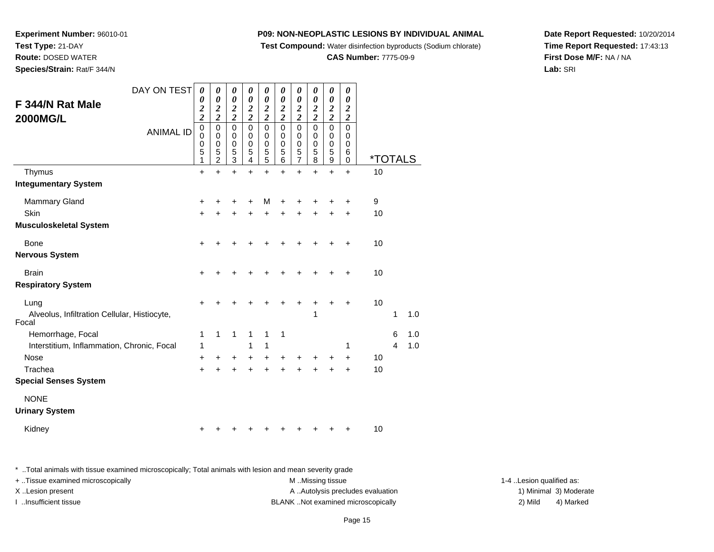**Test Compound:** Water disinfection byproducts (Sodium chlorate)

#### **CAS Number:** 7775-09-9

**Date Report Requested:** 10/20/2014**Time Report Requested:** 17:43:13**First Dose M/F:** NA / NA**Lab:** SRI

DAY ON TEST**F 344/N Rat Male2000MG/L**ANIMAL ID*0 0 2 2* 0 0 0 5 1 $\ddot{}$ *0 0 2 2* 0 0 0 5 2 $\ddot{}$ *0 0 2 2* 0 0 0 5 3*0 0 2 2* 0 0 0 5 4 $\ddot{}$ *0 0 2 2* 0 0 0 5 5*0 0 2 2* 0 0 0 5 6 $\ddot{}$ *0 0 2 2* 0 0 0 5 7*0 0 2 2* 0 0 0 5 8 $\ddot{}$ *0 0 2 2* 0 0 0 5 9 $+$ *0 0 2 2* 0 0 0 6 $\overline{0}$ 0 \*TOTALSThymus <sup>+</sup> <sup>+</sup> <sup>+</sup> <sup>+</sup> <sup>+</sup> <sup>+</sup> <sup>+</sup> <sup>+</sup> <sup>+</sup> + 10 **Integumentary System**Mammary Gland $\alpha$  + <sup>+</sup> <sup>+</sup> <sup>+</sup> <sup>M</sup> <sup>+</sup> <sup>+</sup> <sup>+</sup> <sup>+</sup> + 9 **Skin** n  $+$  <sup>+</sup> <sup>+</sup> <sup>+</sup> <sup>+</sup> <sup>+</sup> <sup>+</sup> <sup>+</sup> <sup>+</sup> + 10 **Musculoskeletal System**Bone $e$  + <sup>+</sup> <sup>+</sup> <sup>+</sup> <sup>+</sup> <sup>+</sup> <sup>+</sup> <sup>+</sup> <sup>+</sup> + 10 **Nervous SystemBrain** n  $+$  <sup>+</sup> <sup>+</sup> <sup>+</sup> <sup>+</sup> <sup>+</sup> <sup>+</sup> <sup>+</sup> <sup>+</sup> + 10 **Respiratory System**Lungg  $\rightarrow$  <sup>+</sup> <sup>+</sup> <sup>+</sup> <sup>+</sup> <sup>+</sup> <sup>+</sup> <sup>+</sup> <sup>+</sup> + 10 Alveolus, Infiltration Cellular, Histiocyte,Focal1 <sup>1</sup> 1.0 Hemorrhage, Focal 1 <sup>1</sup> <sup>1</sup> <sup>1</sup> <sup>1</sup> <sup>1</sup> <sup>6</sup> 1.0 Interstitium, Inflammation, Chronic, Focal 1 <sup>1</sup> <sup>1</sup> <sup>1</sup> <sup>4</sup> 1.0 Nose $e$  + <sup>+</sup> <sup>+</sup> <sup>+</sup> <sup>+</sup> <sup>+</sup> <sup>+</sup> <sup>+</sup> <sup>+</sup> + 10 Tracheaa  $+$  <sup>+</sup> <sup>+</sup> <sup>+</sup> <sup>+</sup> <sup>+</sup> <sup>+</sup> <sup>+</sup> <sup>+</sup> + 10 **Special Senses System**NONE**Urinary System**

Kidney $\mathsf y$ 

**Experiment Number:** 96010-01

**Test Type:** 21-DAY **Route:** DOSED WATER**Species/Strain:** Rat/F 344/N

\* ..Total animals with tissue examined microscopically; Total animals with lesion and mean severity grade

+ ..Tissue examined microscopically examined microscopically examined as: M ..Missing tissue 1-4 ..Lesion qualified as: X..Lesion present **A ..**Autolysis precludes evaluation A ..Autolysis precludes evaluation 1) Minimal 3) Moderate I ..Insufficient tissue BLANK ..Not examined microscopically 2) Mild 4) Marked

<sup>+</sup> <sup>+</sup> <sup>+</sup> <sup>+</sup> <sup>+</sup> <sup>+</sup> <sup>+</sup> <sup>+</sup> + 10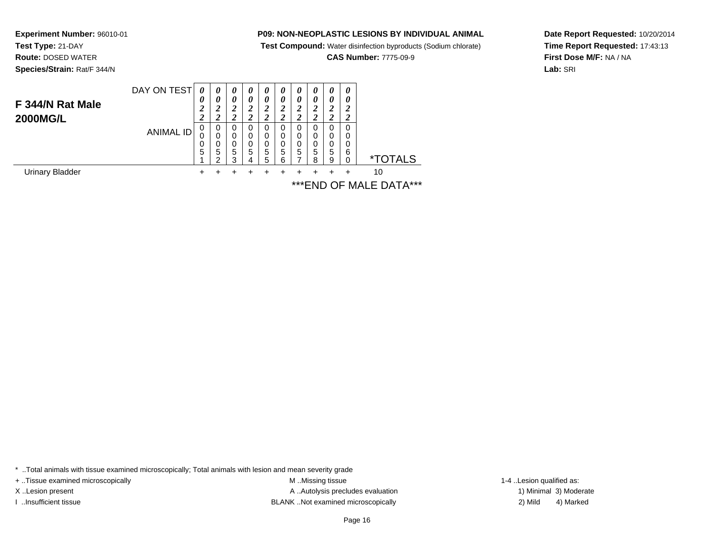**Test Compound:** Water disinfection byproducts (Sodium chlorate)

**CAS Number:** 7775-09-9

**Date Report Requested:** 10/20/2014**Time Report Requested:** 17:43:13**First Dose M/F:** NA / NA**Lab:** SRI

 **Species/Strain:** Rat/F 344/NDAY ON TEST**F 344/N Rat Male2000MG/L**ANIMAL ID*0 0 2 2*0<br>0<br>0<br>5<br>1 *0 0 2 2*0<br>0<br>0<br>5<br>2 *0 0 2 2* 0 0 0 5 3*0 0 2 2* 0 0 0 5 4*0 0 2 2* 0 0 0 5 5*0 0 2 2* 0 0 0 5 6*0 0 2 2* 0 0 0 5 7*0 0 2 2* 0 0 0 5 8*0 0 2 2* 0 0 0 5 9*0 0 2 2* 0 0 0 6 $\check{\mathrm{o}}$ 0 \*TOTALS

 $+$ 

 $\ddot{}$ 

 $\ddot{}$ 

 $\ddot{}$ 

 $+$ 

Urinary Bladder $\mathsf{r}$  +

**Experiment Number:** 96010-01

**Test Type:** 21-DAY**Route:** DOSED WATER

> <sup>+</sup> <sup>+</sup> <sup>+</sup> <sup>+</sup> <sup>+</sup> <sup>+</sup> <sup>+</sup> <sup>+</sup> + 10 \*\*\*END OF MALE DATA\*\*\*

\* ..Total animals with tissue examined microscopically; Total animals with lesion and mean severity grade

+ ..Tissue examined microscopically examined microscopically examined as:  $M$  ..Missing tissue 1-4 ..Lesion qualified as:

X..Lesion present **A ..**Autolysis precludes evaluation A ..Autolysis precludes evaluation 1) Minimal 3) Moderate I ..Insufficient tissue BLANK ..Not examined microscopically 2) Mild 4) Marked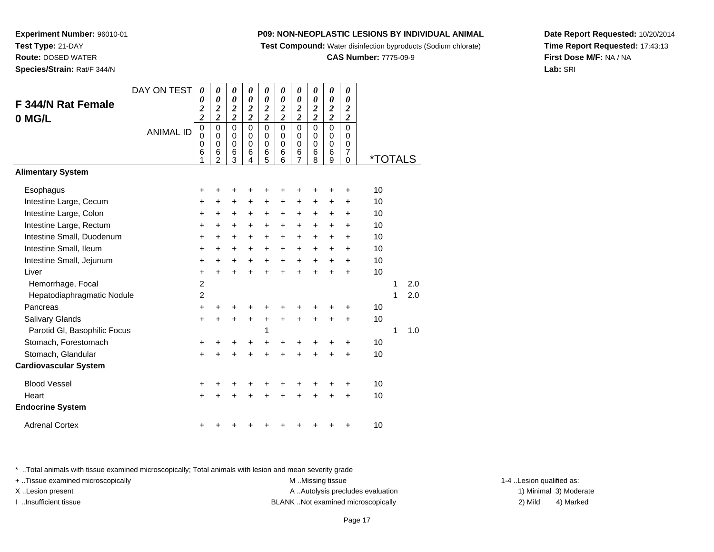**Test Compound:** Water disinfection byproducts (Sodium chlorate)

**CAS Number:** 7775-09-9

**Date Report Requested:** 10/20/2014**Time Report Requested:** 17:43:13**First Dose M/F:** NA / NA**Lab:** SRI

\* ..Total animals with tissue examined microscopically; Total animals with lesion and mean severity grade

+ ..Tissue examined microscopically examined microscopically examined as:  $M$  ..Missing tissue 1-4 ..Lesion qualified as:

X..Lesion present **A ..Autolysis precludes evaluation** A ..Autolysis precludes evaluation 1) Minimal 3) Moderate

I ..Insufficient tissue BLANK ..Not examined microscopically 2) Mild 4) Marked

| 0 MG/L                       |                  | 2                               | $\boldsymbol{2}$                                            | $\overline{\mathbf{c}}$                             | $\boldsymbol{2}$                          | $\overline{\mathbf{c}}$                             | $\overline{\mathbf{c}}$                             | $\boldsymbol{2}$                           | $\overline{\mathbf{c}}$                           | $\overline{\mathbf{c}}$                             | $\boldsymbol{2}$                          |                       |   |     |
|------------------------------|------------------|---------------------------------|-------------------------------------------------------------|-----------------------------------------------------|-------------------------------------------|-----------------------------------------------------|-----------------------------------------------------|--------------------------------------------|---------------------------------------------------|-----------------------------------------------------|-------------------------------------------|-----------------------|---|-----|
|                              | <b>ANIMAL ID</b> | $\mathbf 0$<br>0<br>0<br>6<br>1 | $\pmb{0}$<br>$\Omega$<br>$\mathbf 0$<br>6<br>$\mathfrak{p}$ | $\mathbf 0$<br>$\mathbf 0$<br>$\mathbf 0$<br>6<br>3 | $\mathbf 0$<br>0<br>$\mathbf 0$<br>6<br>4 | $\mathbf 0$<br>$\mathbf 0$<br>$\mathbf 0$<br>6<br>5 | $\mathbf 0$<br>$\mathbf 0$<br>$\mathbf 0$<br>6<br>6 | 0<br>0<br>$\pmb{0}$<br>6<br>$\overline{7}$ | $\pmb{0}$<br>$\mathbf 0$<br>$\mathbf 0$<br>6<br>8 | $\pmb{0}$<br>$\pmb{0}$<br>$\mathbf 0$<br>$\,6$<br>9 | $\mathbf 0$<br>0<br>0<br>7<br>$\mathbf 0$ | <i><b>*TOTALS</b></i> |   |     |
| <b>Alimentary System</b>     |                  |                                 |                                                             |                                                     |                                           |                                                     |                                                     |                                            |                                                   |                                                     |                                           |                       |   |     |
| Esophagus                    |                  | +                               | +                                                           | +                                                   |                                           |                                                     | ٠                                                   | +                                          | ÷                                                 | +                                                   | ÷                                         | 10                    |   |     |
| Intestine Large, Cecum       |                  | $+$                             | $\ddot{}$                                                   | +                                                   | $\ddot{}$                                 | $\ddot{}$                                           | $\ddot{}$                                           | $\ddot{}$                                  | $\ddot{}$                                         | $\pm$                                               | $\ddot{}$                                 | 10                    |   |     |
| Intestine Large, Colon       |                  | +                               | +                                                           | +                                                   | +                                         | $\pm$                                               | $\ddot{}$                                           | +                                          | +                                                 | +                                                   | ÷                                         | 10                    |   |     |
| Intestine Large, Rectum      |                  | +                               | $\pm$                                                       | +                                                   | $\ddot{}$                                 | $+$                                                 | +                                                   | +                                          | +                                                 | $\ddot{}$                                           | +                                         | 10                    |   |     |
| Intestine Small, Duodenum    |                  | $\ddot{}$                       | +                                                           | +                                                   | $\ddot{}$                                 | $\ddot{}$                                           | +                                                   | +                                          | $\ddot{}$                                         | $\ddot{}$                                           | +                                         | 10                    |   |     |
| Intestine Small, Ileum       |                  | +                               | +                                                           | +                                                   | +                                         | +                                                   | +                                                   | +                                          | +                                                 | +                                                   | $\ddot{}$                                 | 10                    |   |     |
| Intestine Small, Jejunum     |                  | $\ddot{}$                       | $\ddot{}$                                                   | $\ddot{}$                                           | $\ddot{}$                                 | +                                                   | +                                                   | +                                          | $\ddot{}$                                         | $\ddot{}$                                           | +                                         | 10                    |   |     |
| Liver                        |                  | $\ddot{}$                       | +                                                           | $\ddot{}$                                           | ÷                                         | $\ddot{}$                                           | $\ddot{}$                                           | $\ddot{}$                                  | $\ddot{}$                                         | $\ddot{}$                                           | $\ddot{}$                                 | 10                    |   |     |
| Hemorrhage, Focal            |                  | $\boldsymbol{2}$                |                                                             |                                                     |                                           |                                                     |                                                     |                                            |                                                   |                                                     |                                           |                       | 1 | 2.0 |
| Hepatodiaphragmatic Nodule   |                  | $\overline{c}$                  |                                                             |                                                     |                                           |                                                     |                                                     |                                            |                                                   |                                                     |                                           |                       | 1 | 2.0 |
| Pancreas                     |                  | $\ddot{}$                       |                                                             | +                                                   |                                           |                                                     |                                                     | +                                          | ٠                                                 |                                                     | ٠                                         | 10                    |   |     |
| Salivary Glands              |                  | $\ddot{}$                       | +                                                           | ٠                                                   | $\ddot{}$                                 | $\ddot{}$                                           | $\ddot{}$                                           | $\ddot{}$                                  | $\ddot{}$                                         | $\pm$                                               | $\ddot{}$                                 | 10                    |   |     |
| Parotid GI, Basophilic Focus |                  |                                 |                                                             |                                                     |                                           | 1                                                   |                                                     |                                            |                                                   |                                                     |                                           |                       | 1 | 1.0 |
| Stomach, Forestomach         |                  | $\ddot{}$                       |                                                             | +                                                   | +                                         | +                                                   | +                                                   | +                                          | +                                                 |                                                     | +                                         | 10                    |   |     |
| Stomach, Glandular           |                  | $\ddot{}$                       | +                                                           | $\ddot{}$                                           | $\ddot{}$                                 | $\ddot{}$                                           | $\ddot{}$                                           | $\ddot{}$                                  | $\ddot{}$                                         | $\ddot{}$                                           | $\ddot{}$                                 | 10                    |   |     |
| <b>Cardiovascular System</b> |                  |                                 |                                                             |                                                     |                                           |                                                     |                                                     |                                            |                                                   |                                                     |                                           |                       |   |     |
| <b>Blood Vessel</b>          |                  | $\ddot{}$                       |                                                             |                                                     |                                           |                                                     |                                                     | +                                          | +                                                 |                                                     | +                                         | 10                    |   |     |
| Heart                        |                  | $\pm$                           |                                                             | +                                                   |                                           |                                                     | +                                                   | +                                          | $\ddot{}$                                         | +                                                   | $\ddot{}$                                 | 10                    |   |     |
| <b>Endocrine System</b>      |                  |                                 |                                                             |                                                     |                                           |                                                     |                                                     |                                            |                                                   |                                                     |                                           |                       |   |     |
| <b>Adrenal Cortex</b>        |                  | +                               |                                                             |                                                     |                                           |                                                     |                                                     |                                            |                                                   |                                                     | ٠                                         | 10                    |   |     |

*0 0 2*

*0 0 2*

*0 0 2*

*0 0 2*

*0 0 2*

*0 0 2*

*0 0 2*

*0 0 2*

*0 0 2*

DAY ON TEST *0 0 2*

# **Experiment Number:** 96010-01**Test Type:** 21-DAY **Route:** DOSED WATER**Species/Strain:** Rat/F 344/N

**F 344/N Rat Female**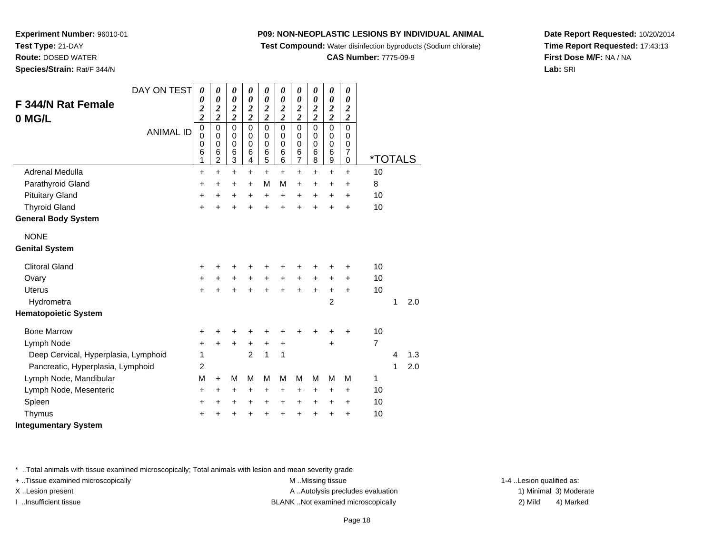**Test Compound:** Water disinfection byproducts (Sodium chlorate)

**CAS Number:** 7775-09-9

**Date Report Requested:** 10/20/2014**Time Report Requested:** 17:43:13**First Dose M/F:** NA / NA**Lab:** SRI

**Experiment Number:** 96010-01**Test Type:** 21-DAY **Route:** DOSED WATER**Species/Strain:** Rat/F 344/N

| <b>F 344/N Rat Female</b><br>0 MG/L  | DAY ON TEST      | $\boldsymbol{\theta}$<br>$\boldsymbol{\theta}$<br>$\overline{\mathbf{c}}$<br>$\overline{\mathbf{c}}$ | $\boldsymbol{\theta}$<br>$\boldsymbol{\theta}$<br>$\overline{\mathbf{c}}$<br>$\overline{\mathbf{c}}$ | $\boldsymbol{\theta}$<br>$\boldsymbol{\theta}$<br>$\boldsymbol{2}$<br>$\overline{2}$ | $\boldsymbol{\theta}$<br>$\boldsymbol{\theta}$<br>$\boldsymbol{2}$<br>$\overline{2}$ | $\boldsymbol{\theta}$<br>$\boldsymbol{\theta}$<br>$\boldsymbol{2}$<br>$\overline{\mathbf{c}}$ | 0<br>$\boldsymbol{\theta}$<br>$\boldsymbol{2}$<br>$\overline{c}$ | $\boldsymbol{\theta}$<br>$\boldsymbol{\theta}$<br>$\boldsymbol{2}$<br>$\overline{c}$ | $\pmb{\theta}$<br>$\pmb{\theta}$<br>$\boldsymbol{2}$<br>$\overline{2}$ | $\boldsymbol{\theta}$<br>$\pmb{\theta}$<br>$\boldsymbol{2}$<br>$\overline{2}$ | 0<br>$\boldsymbol{\theta}$<br>$\overline{2}$<br>$\overline{2}$       |                       |   |     |
|--------------------------------------|------------------|------------------------------------------------------------------------------------------------------|------------------------------------------------------------------------------------------------------|--------------------------------------------------------------------------------------|--------------------------------------------------------------------------------------|-----------------------------------------------------------------------------------------------|------------------------------------------------------------------|--------------------------------------------------------------------------------------|------------------------------------------------------------------------|-------------------------------------------------------------------------------|----------------------------------------------------------------------|-----------------------|---|-----|
|                                      | <b>ANIMAL ID</b> | $\mathbf 0$<br>0<br>$\mathbf 0$<br>6<br>1                                                            | $\mathbf 0$<br>$\mathbf 0$<br>$\mathbf 0$<br>6<br>$\overline{c}$                                     | $\mathbf 0$<br>$\mathbf 0$<br>$\mathbf 0$<br>6<br>$\mathfrak{S}$                     | $\mathbf 0$<br>$\mathbf 0$<br>$\mathbf 0$<br>6<br>$\overline{\mathbf{4}}$            | $\mathbf 0$<br>$\mathbf 0$<br>$\mathbf 0$<br>6<br>$\overline{5}$                              | $\mathbf 0$<br>0<br>$\mathbf 0$<br>6<br>6                        | $\mathbf 0$<br>$\mathbf 0$<br>$\mathbf 0$<br>$\begin{array}{c} 6 \\ 7 \end{array}$   | $\mathbf 0$<br>$\mathbf 0$<br>$\mathbf 0$<br>6<br>8                    | $\mathbf 0$<br>$\mathbf 0$<br>$\mathbf 0$<br>6<br>9                           | $\Omega$<br>$\Omega$<br>$\mathbf 0$<br>$\overline{7}$<br>$\mathbf 0$ | <i><b>*TOTALS</b></i> |   |     |
| Adrenal Medulla                      |                  | $\ddot{}$                                                                                            | $\ddot{}$                                                                                            | $\ddot{}$                                                                            | $\ddot{}$                                                                            | $\ddot{}$                                                                                     | $\ddot{}$                                                        | $\ddot{}$                                                                            | $\ddot{}$                                                              | $\ddot{}$                                                                     | $\ddot{}$                                                            | 10                    |   |     |
| Parathyroid Gland                    |                  | $\ddot{}$                                                                                            | $\ddot{}$                                                                                            | $\ddot{}$                                                                            | $\ddot{}$                                                                            | M                                                                                             | M                                                                | $\ddot{}$                                                                            | $\ddot{}$                                                              | +                                                                             | $\ddot{}$                                                            | 8                     |   |     |
| <b>Pituitary Gland</b>               |                  | +                                                                                                    | +                                                                                                    | +                                                                                    | +                                                                                    | $\ddot{}$                                                                                     | $\ddot{}$                                                        | $\ddot{}$                                                                            | $\ddot{}$                                                              | $\ddot{}$                                                                     | $\ddot{}$                                                            | 10                    |   |     |
| <b>Thyroid Gland</b>                 |                  | $\ddot{}$                                                                                            | +                                                                                                    | $\ddot{}$                                                                            |                                                                                      | $\ddot{}$                                                                                     | $\ddot{}$                                                        | $\ddot{}$                                                                            | ÷.                                                                     | $\ddot{}$                                                                     | $\ddot{}$                                                            | 10                    |   |     |
| <b>General Body System</b>           |                  |                                                                                                      |                                                                                                      |                                                                                      |                                                                                      |                                                                                               |                                                                  |                                                                                      |                                                                        |                                                                               |                                                                      |                       |   |     |
| <b>NONE</b>                          |                  |                                                                                                      |                                                                                                      |                                                                                      |                                                                                      |                                                                                               |                                                                  |                                                                                      |                                                                        |                                                                               |                                                                      |                       |   |     |
| <b>Genital System</b>                |                  |                                                                                                      |                                                                                                      |                                                                                      |                                                                                      |                                                                                               |                                                                  |                                                                                      |                                                                        |                                                                               |                                                                      |                       |   |     |
| <b>Clitoral Gland</b>                |                  | +                                                                                                    | +                                                                                                    | +                                                                                    |                                                                                      |                                                                                               |                                                                  |                                                                                      |                                                                        |                                                                               | ٠                                                                    | 10                    |   |     |
| Ovary                                |                  | +                                                                                                    | $\ddot{}$                                                                                            | $\ddot{}$                                                                            | $\ddot{}$                                                                            | $\ddot{}$                                                                                     | $+$                                                              | $\ddot{}$                                                                            | $\ddot{}$                                                              | +                                                                             | +                                                                    | 10                    |   |     |
| <b>Uterus</b>                        |                  | $\ddot{}$                                                                                            |                                                                                                      | $\ddot{}$                                                                            |                                                                                      | $\ddot{}$                                                                                     |                                                                  | $\ddot{}$                                                                            | +                                                                      | $\ddot{}$                                                                     | $\ddot{}$                                                            | 10                    |   |     |
| Hydrometra                           |                  |                                                                                                      |                                                                                                      |                                                                                      |                                                                                      |                                                                                               |                                                                  |                                                                                      |                                                                        | $\overline{2}$                                                                |                                                                      |                       | 1 | 2.0 |
| <b>Hematopoietic System</b>          |                  |                                                                                                      |                                                                                                      |                                                                                      |                                                                                      |                                                                                               |                                                                  |                                                                                      |                                                                        |                                                                               |                                                                      |                       |   |     |
| <b>Bone Marrow</b>                   |                  | +                                                                                                    | +                                                                                                    | +                                                                                    |                                                                                      |                                                                                               |                                                                  |                                                                                      |                                                                        |                                                                               | +                                                                    | 10                    |   |     |
| Lymph Node                           |                  | +                                                                                                    | $\ddot{}$                                                                                            | $\ddot{}$                                                                            | $\ddot{}$                                                                            | $\ddot{}$                                                                                     | $\ddot{}$                                                        |                                                                                      |                                                                        | $\ddot{}$                                                                     |                                                                      | $\overline{7}$        |   |     |
| Deep Cervical, Hyperplasia, Lymphoid |                  | 1                                                                                                    |                                                                                                      |                                                                                      | $\overline{2}$                                                                       | $\mathbf{1}$                                                                                  | 1                                                                |                                                                                      |                                                                        |                                                                               |                                                                      |                       | 4 | 1.3 |
| Pancreatic, Hyperplasia, Lymphoid    |                  | 2                                                                                                    |                                                                                                      |                                                                                      |                                                                                      |                                                                                               |                                                                  |                                                                                      |                                                                        |                                                                               |                                                                      |                       | 1 | 2.0 |
| Lymph Node, Mandibular               |                  | M                                                                                                    | $\ddot{}$                                                                                            | M                                                                                    | M                                                                                    | M                                                                                             | М                                                                | M                                                                                    | M                                                                      | M                                                                             | M                                                                    | 1                     |   |     |
| Lymph Node, Mesenteric               |                  | +                                                                                                    | $\ddot{}$                                                                                            | $\ddot{}$                                                                            | $\ddot{}$                                                                            | $\ddot{}$                                                                                     | $\ddot{}$                                                        | $\ddot{}$                                                                            | +                                                                      | +                                                                             | $\ddot{}$                                                            | 10                    |   |     |
| Spleen                               |                  | +                                                                                                    | +                                                                                                    | +                                                                                    | +                                                                                    | $\ddot{}$                                                                                     | +                                                                | $\ddot{}$                                                                            | +                                                                      | +                                                                             | +                                                                    | 10                    |   |     |
| Thymus                               |                  | +                                                                                                    |                                                                                                      |                                                                                      |                                                                                      |                                                                                               |                                                                  | $\ddot{}$                                                                            |                                                                        | +                                                                             | $\ddot{}$                                                            | 10                    |   |     |
| <b>Integumentary System</b>          |                  |                                                                                                      |                                                                                                      |                                                                                      |                                                                                      |                                                                                               |                                                                  |                                                                                      |                                                                        |                                                                               |                                                                      |                       |   |     |

\* ..Total animals with tissue examined microscopically; Total animals with lesion and mean severity grade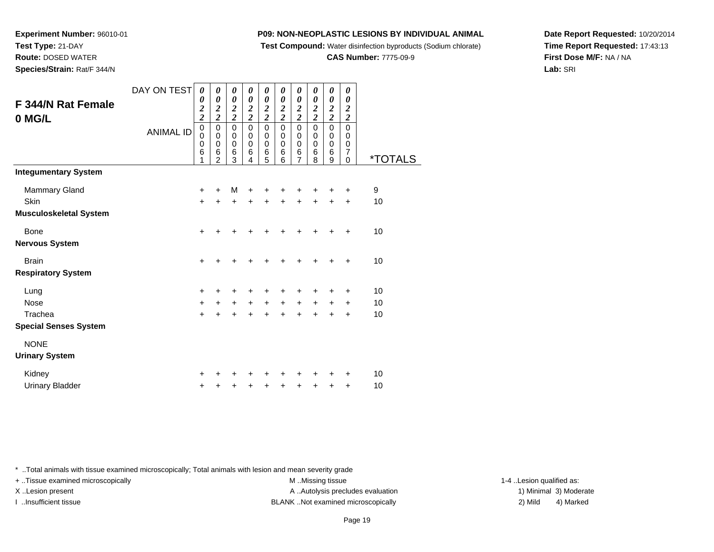**Test Compound:** Water disinfection byproducts (Sodium chlorate)

#### **CAS Number:** 7775-09-9

**Date Report Requested:** 10/20/2014**Time Report Requested:** 17:43:13**First Dose M/F:** NA / NA**Lab:** SRI

**Test Type:** 21-DAY**Route:** DOSED WATER

**Experiment Number:** 96010-01

**Species/Strain:** Rat/F 344/N

| F 344/N Rat Female           | DAY ON TEST      | 0<br>0                                    | 0<br>$\boldsymbol{\theta}$                    | 0<br>$\pmb{\theta}$                             | 0<br>0                             | 0<br>0                                            | 0<br>$\boldsymbol{\theta}$    | 0<br>$\boldsymbol{\theta}$                        | 0<br>$\boldsymbol{\theta}$    | 0<br>$\boldsymbol{\theta}$                          | 0<br>$\boldsymbol{\theta}$<br>$\boldsymbol{2}$      |                       |
|------------------------------|------------------|-------------------------------------------|-----------------------------------------------|-------------------------------------------------|------------------------------------|---------------------------------------------------|-------------------------------|---------------------------------------------------|-------------------------------|-----------------------------------------------------|-----------------------------------------------------|-----------------------|
| 0 MG/L                       |                  | $\frac{2}{2}$                             | $\frac{2}{2}$                                 | $\frac{2}{2}$                                   | $\frac{2}{2}$                      | $\frac{2}{2}$                                     | $\frac{2}{2}$                 | $\frac{2}{2}$                                     | $\frac{2}{2}$                 | $\frac{2}{2}$                                       | $\overline{c}$                                      |                       |
|                              | <b>ANIMAL ID</b> | $\boldsymbol{0}$<br>$\mathbf 0$<br>0<br>6 | $\overline{0}$<br>$\pmb{0}$<br>$\pmb{0}$<br>6 | $\overline{0}$<br>$\pmb{0}$<br>$\,0\,$<br>$\,6$ | $\mathsf 0$<br>$\pmb{0}$<br>0<br>6 | $\overline{0}$<br>$\pmb{0}$<br>$\pmb{0}$<br>$\,6$ | $\overline{0}$<br>0<br>0<br>6 | $\overline{0}$<br>$\pmb{0}$<br>$\pmb{0}$<br>$\,6$ | $\overline{0}$<br>0<br>0<br>6 | $\overline{0}$<br>$\mathbf 0$<br>$\pmb{0}$<br>$\,6$ | $\overline{0}$<br>0<br>0<br>$\overline{\mathbf{7}}$ |                       |
|                              |                  | 1                                         | $\overline{2}$                                | 3                                               | 4                                  | 5                                                 | 6                             | 7                                                 | 8                             | 9                                                   | $\Omega$                                            | <i><b>*TOTALS</b></i> |
| <b>Integumentary System</b>  |                  |                                           |                                               |                                                 |                                    |                                                   |                               |                                                   |                               |                                                     |                                                     |                       |
| Mammary Gland                |                  | +                                         | +                                             | M                                               | +                                  |                                                   |                               |                                                   |                               | +                                                   | +                                                   | 9                     |
| Skin                         |                  | $\ddot{}$                                 | ÷                                             | $\ddot{}$                                       | $\ddot{}$                          | $\ddot{}$                                         | $\ddot{}$                     | $\ddot{}$                                         | $\ddot{}$                     | +                                                   | $\ddot{}$                                           | 10                    |
| Musculoskeletal System       |                  |                                           |                                               |                                                 |                                    |                                                   |                               |                                                   |                               |                                                     |                                                     |                       |
| Bone                         |                  | $\ddot{}$                                 | +                                             | +                                               | +                                  | +                                                 | +                             | +                                                 | +                             | $\ddot{}$                                           | +                                                   | 10                    |
| Nervous System               |                  |                                           |                                               |                                                 |                                    |                                                   |                               |                                                   |                               |                                                     |                                                     |                       |
| <b>Brain</b>                 |                  | $\ddot{}$                                 | +                                             | +                                               | +                                  | +                                                 | +                             | +                                                 | ٠                             | ٠                                                   | $\ddot{}$                                           | 10                    |
| <b>Respiratory System</b>    |                  |                                           |                                               |                                                 |                                    |                                                   |                               |                                                   |                               |                                                     |                                                     |                       |
| Lung                         |                  | $\ddot{}$                                 | ٠                                             | +                                               | +                                  | +                                                 | +                             | +                                                 | +                             | ٠                                                   | +                                                   | 10                    |
| Nose                         |                  | $\ddot{}$                                 | +                                             | $\ddot{}$                                       | $\ddot{}$                          | $\ddot{}$                                         | $\ddot{}$                     | $\ddot{}$                                         | $\ddot{}$                     | $\ddot{}$                                           | $\ddot{}$                                           | 10                    |
| Trachea                      |                  | $\ddot{}$                                 | $\ddot{}$                                     | +                                               | $\ddot{}$                          | +                                                 | $\ddot{}$                     | $\ddot{}$                                         | $\ddot{}$                     | $\ddot{}$                                           | $\ddot{}$                                           | 10                    |
| <b>Special Senses System</b> |                  |                                           |                                               |                                                 |                                    |                                                   |                               |                                                   |                               |                                                     |                                                     |                       |
| <b>NONE</b>                  |                  |                                           |                                               |                                                 |                                    |                                                   |                               |                                                   |                               |                                                     |                                                     |                       |
| <b>Urinary System</b>        |                  |                                           |                                               |                                                 |                                    |                                                   |                               |                                                   |                               |                                                     |                                                     |                       |
| Kidney                       |                  | +                                         |                                               | +                                               |                                    | +                                                 | +                             | +                                                 | +                             | +                                                   | +                                                   | 10                    |
| <b>Urinary Bladder</b>       |                  | +                                         | +                                             | +                                               | +                                  | +                                                 | +                             | +                                                 | +                             | +                                                   | $\ddot{}$                                           | 10                    |

\* ..Total animals with tissue examined microscopically; Total animals with lesion and mean severity grade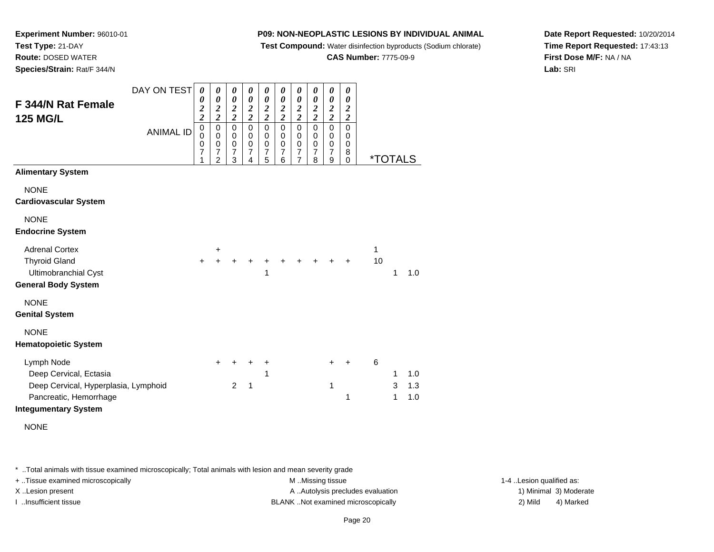**Test Compound:** Water disinfection byproducts (Sodium chlorate)

**CAS Number:** 7775-09-9

**Date Report Requested:** 10/20/2014**Time Report Requested:** 17:43:13**First Dose M/F:** NA / NA**Lab:** SRI

**Experiment Number:** 96010-01**Test Type:** 21-DAY **Route:** DOSED WATER**Species/Strain:** Rat/F 344/N

| <b>F344/N Rat Female</b>                                                                               | DAY ON TEST      | 0<br>0<br>$\boldsymbol{2}$                        | 0<br>0                                                                                     | 0<br>$\boldsymbol{\theta}$<br>$\boldsymbol{2}$                   | 0<br>$\boldsymbol{\theta}$                                                                    | 0<br>$\boldsymbol{\theta}$<br>$\overline{2}$                                    | 0<br>0                                                                    | 0<br>$\boldsymbol{\theta}$                                                 | 0<br>$\boldsymbol{\theta}$                                                | 0<br>$\boldsymbol{\theta}$                                                                      | 0<br>$\boldsymbol{\theta}$<br>$\boldsymbol{2}$                |                       |             |                   |
|--------------------------------------------------------------------------------------------------------|------------------|---------------------------------------------------|--------------------------------------------------------------------------------------------|------------------------------------------------------------------|-----------------------------------------------------------------------------------------------|---------------------------------------------------------------------------------|---------------------------------------------------------------------------|----------------------------------------------------------------------------|---------------------------------------------------------------------------|-------------------------------------------------------------------------------------------------|---------------------------------------------------------------|-----------------------|-------------|-------------------|
| <b>125 MG/L</b>                                                                                        | <b>ANIMAL ID</b> | $\boldsymbol{2}$<br>$\pmb{0}$<br>0<br>0<br>7<br>1 | $\frac{2}{2}$<br>$\mathbf 0$<br>$\pmb{0}$<br>$\,0\,$<br>$\boldsymbol{7}$<br>$\overline{2}$ | $\overline{c}$<br>$\mathsf 0$<br>0<br>0<br>$\boldsymbol{7}$<br>3 | $\frac{2}{2}$<br>$\overline{0}$<br>$\mathbf 0$<br>$\mathbf 0$<br>$\overline{\mathbf{7}}$<br>4 | $\boldsymbol{2}$<br>$\overline{0}$<br>0<br>$\mathbf 0$<br>$\boldsymbol{7}$<br>5 | $\frac{2}{2}$<br>$\mathsf 0$<br>0<br>$\mathbf 0$<br>$\boldsymbol{7}$<br>6 | $\frac{2}{2}$<br>$\mathsf 0$<br>0<br>0<br>$\overline{7}$<br>$\overline{7}$ | $\frac{2}{2}$<br>$\mathbf 0$<br>0<br>$\mathbf 0$<br>$\boldsymbol{7}$<br>8 | $\frac{2}{2}$<br>$\overline{0}$<br>$\pmb{0}$<br>$\pmb{0}$<br>$\overline{7}$<br>$\boldsymbol{9}$ | $\boldsymbol{2}$<br>$\mathbf 0$<br>0<br>0<br>8<br>$\mathbf 0$ | <i><b>*TOTALS</b></i> |             |                   |
| <b>Alimentary System</b>                                                                               |                  |                                                   |                                                                                            |                                                                  |                                                                                               |                                                                                 |                                                                           |                                                                            |                                                                           |                                                                                                 |                                                               |                       |             |                   |
| <b>NONE</b><br><b>Cardiovascular System</b>                                                            |                  |                                                   |                                                                                            |                                                                  |                                                                                               |                                                                                 |                                                                           |                                                                            |                                                                           |                                                                                                 |                                                               |                       |             |                   |
| <b>NONE</b><br><b>Endocrine System</b>                                                                 |                  |                                                   |                                                                                            |                                                                  |                                                                                               |                                                                                 |                                                                           |                                                                            |                                                                           |                                                                                                 |                                                               |                       |             |                   |
| <b>Adrenal Cortex</b><br><b>Thyroid Gland</b><br>Ultimobranchial Cyst                                  |                  | $\ddot{}$                                         | +<br>$\ddot{}$                                                                             |                                                                  |                                                                                               | 1                                                                               |                                                                           |                                                                            |                                                                           |                                                                                                 |                                                               | 1<br>10               | 1           | 1.0               |
| <b>General Body System</b>                                                                             |                  |                                                   |                                                                                            |                                                                  |                                                                                               |                                                                                 |                                                                           |                                                                            |                                                                           |                                                                                                 |                                                               |                       |             |                   |
| <b>NONE</b><br><b>Genital System</b>                                                                   |                  |                                                   |                                                                                            |                                                                  |                                                                                               |                                                                                 |                                                                           |                                                                            |                                                                           |                                                                                                 |                                                               |                       |             |                   |
| <b>NONE</b><br><b>Hematopoietic System</b>                                                             |                  |                                                   |                                                                                            |                                                                  |                                                                                               |                                                                                 |                                                                           |                                                                            |                                                                           |                                                                                                 |                                                               |                       |             |                   |
| Lymph Node<br>Deep Cervical, Ectasia<br>Deep Cervical, Hyperplasia, Lymphoid<br>Pancreatic, Hemorrhage |                  |                                                   | $\pm$                                                                                      | $\overline{2}$                                                   | 1                                                                                             | +<br>1                                                                          |                                                                           |                                                                            |                                                                           | +<br>1                                                                                          | 1                                                             | 6                     | 1<br>3<br>1 | 1.0<br>1.3<br>1.0 |
| <b>Integumentary System</b>                                                                            |                  |                                                   |                                                                                            |                                                                  |                                                                                               |                                                                                 |                                                                           |                                                                            |                                                                           |                                                                                                 |                                                               |                       |             |                   |

| <b>Adrenal Cortex</b>      | $\pm$ |                     |  |  |  |    |  |
|----------------------------|-------|---------------------|--|--|--|----|--|
| <b>Thyroid Gland</b>       |       | + + + + + + + + + + |  |  |  | 10 |  |
| Ultimobranchial Cyst       |       |                     |  |  |  |    |  |
| <b>General Body System</b> |       |                     |  |  |  |    |  |
| <b>NONE</b>                |       |                     |  |  |  |    |  |
| <b>Genital System</b>      |       |                     |  |  |  |    |  |

| Lymph Node                           |  |  |  |  |     |
|--------------------------------------|--|--|--|--|-----|
| Deep Cervical, Ectasia               |  |  |  |  | 1.0 |
| Deep Cervical, Hyperplasia, Lymphoid |  |  |  |  | 1.3 |
| Pancreatic, Hemorrhage               |  |  |  |  | 1.0 |
| Intonumantary System                 |  |  |  |  |     |

NONE

\* ..Total animals with tissue examined microscopically; Total animals with lesion and mean severity grade

+ ..Tissue examined microscopically examined microscopically examined as:  $M$  ..Missing tissue 1-4 ..Lesion qualified as: X..Lesion present **A ..Autolysis precludes evaluation** A ..Autolysis precludes evaluation 1) Minimal 3) Moderate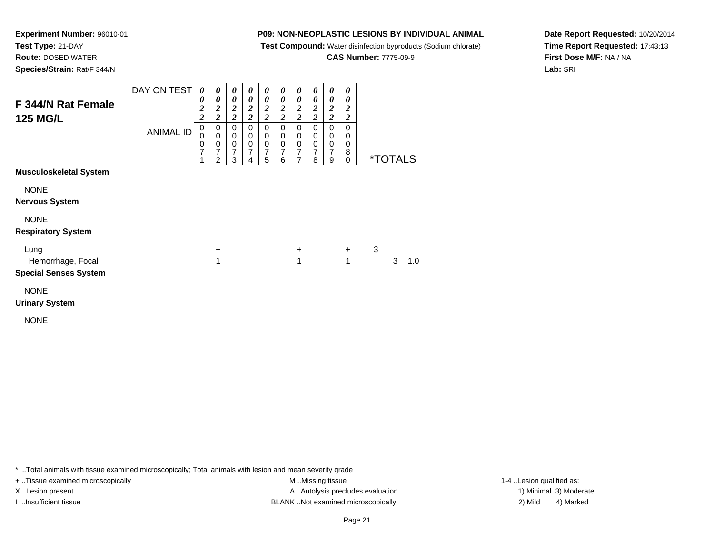**Test Compound:** Water disinfection byproducts (Sodium chlorate)

**CAS Number:** 7775-09-9

**Date Report Requested:** 10/20/2014**Time Report Requested:** 17:43:13**First Dose M/F:** NA / NA**Lab:** SRI

**Experiment Number:** 96010-01**Test Type:** 21-DAY **Route:** DOSED WATER**Species/Strain:** Rat/F 344/N

| F 344/N Rat Female<br><b>125 MG/L</b>             | DAY ON TEST<br><b>ANIMAL ID</b> | 0<br>0<br>$\frac{2}{2}$<br>$\mathbf 0$<br>$\mathbf 0$<br>0<br>$\overline{7}$ | 0<br>0<br>$\frac{2}{2}$<br>0<br>$\pmb{0}$<br>$\pmb{0}$<br>7<br>$\mathfrak{p}$ | 0<br>0<br>$\frac{2}{2}$<br>0<br>$\pmb{0}$<br>$\pmb{0}$<br>$\overline{7}$<br>3 | 0<br>0<br>$\frac{2}{2}$<br>$\mathbf 0$<br>$\mathbf 0$<br>$\mathbf 0$<br>$\overline{7}$<br>4 | 0<br>0<br>$\frac{2}{2}$<br>$\mathbf 0$<br>$\mathbf 0$<br>$\pmb{0}$<br>7<br>5 | 0<br>0<br>$\frac{2}{2}$<br>$\Omega$<br>$\mathbf 0$<br>$\mathbf 0$<br>$\overline{7}$<br>6 | 0<br>0<br>$\frac{2}{2}$<br>$\mathbf 0$<br>$\pmb{0}$<br>$\mathbf 0$<br>7<br>7 | $\boldsymbol{\theta}$<br>0<br>$\boldsymbol{2}$<br>$\overline{\mathbf{c}}$<br>$\Omega$<br>0<br>$\mathbf 0$<br>7<br>8 | 0<br>0<br>$\boldsymbol{2}$<br>$\overline{\mathbf{c}}$<br>$\mathbf 0$<br>$\mathbf 0$<br>$\mathbf 0$<br>$\overline{7}$<br>9 | $\boldsymbol{\theta}$<br>0<br>$\boldsymbol{2}$<br>$\overline{2}$<br>$\mathbf 0$<br>0<br>0<br>8<br>$\Omega$ |   | <i><b>*TOTALS</b></i> |     |
|---------------------------------------------------|---------------------------------|------------------------------------------------------------------------------|-------------------------------------------------------------------------------|-------------------------------------------------------------------------------|---------------------------------------------------------------------------------------------|------------------------------------------------------------------------------|------------------------------------------------------------------------------------------|------------------------------------------------------------------------------|---------------------------------------------------------------------------------------------------------------------|---------------------------------------------------------------------------------------------------------------------------|------------------------------------------------------------------------------------------------------------|---|-----------------------|-----|
| <b>Musculoskeletal System</b>                     |                                 |                                                                              |                                                                               |                                                                               |                                                                                             |                                                                              |                                                                                          |                                                                              |                                                                                                                     |                                                                                                                           |                                                                                                            |   |                       |     |
| <b>NONE</b><br><b>Nervous System</b>              |                                 |                                                                              |                                                                               |                                                                               |                                                                                             |                                                                              |                                                                                          |                                                                              |                                                                                                                     |                                                                                                                           |                                                                                                            |   |                       |     |
| <b>NONE</b><br><b>Respiratory System</b>          |                                 |                                                                              |                                                                               |                                                                               |                                                                                             |                                                                              |                                                                                          |                                                                              |                                                                                                                     |                                                                                                                           |                                                                                                            |   |                       |     |
| Lung                                              |                                 |                                                                              | +                                                                             |                                                                               |                                                                                             |                                                                              |                                                                                          | $\ddot{}$                                                                    |                                                                                                                     |                                                                                                                           | $\ddot{}$                                                                                                  | 3 |                       |     |
| Hemorrhage, Focal<br><b>Special Senses System</b> |                                 |                                                                              | 1                                                                             |                                                                               |                                                                                             |                                                                              |                                                                                          | 1                                                                            |                                                                                                                     |                                                                                                                           | 1                                                                                                          |   | 3                     | 1.0 |
| <b>NONE</b><br><b>Urinary System</b>              |                                 |                                                                              |                                                                               |                                                                               |                                                                                             |                                                                              |                                                                                          |                                                                              |                                                                                                                     |                                                                                                                           |                                                                                                            |   |                       |     |

NONE

\* ..Total animals with tissue examined microscopically; Total animals with lesion and mean severity grade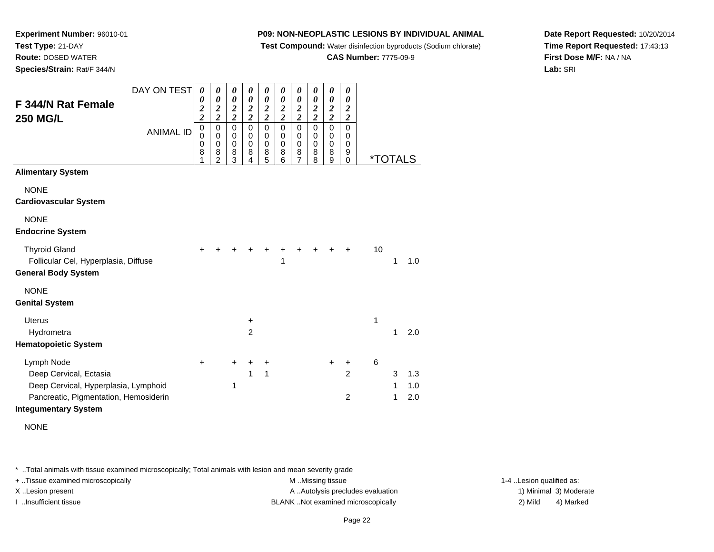**Test Compound:** Water disinfection byproducts (Sodium chlorate)

**CAS Number:** 7775-09-9

**Date Report Requested:** 10/20/2014**Time Report Requested:** 17:43:13**First Dose M/F:** NA / NA**Lab:** SRI

**Experiment Number:** 96010-01**Test Type:** 21-DAY **Route:** DOSED WATER**Species/Strain:** Rat/F 344/N

| DAY ON TEST<br>F 344/N Rat Female                                                                            | 0<br>0                          | 0<br>0                                            | 0<br>$\boldsymbol{\theta}$      | 0<br>0                          | 0<br>$\boldsymbol{\theta}$            | 0<br>0                          | 0<br>$\boldsymbol{\theta}$      | 0<br>0                       | 0<br>$\boldsymbol{\theta}$                     | 0<br>0                                      |    |                       |            |
|--------------------------------------------------------------------------------------------------------------|---------------------------------|---------------------------------------------------|---------------------------------|---------------------------------|---------------------------------------|---------------------------------|---------------------------------|------------------------------|------------------------------------------------|---------------------------------------------|----|-----------------------|------------|
|                                                                                                              | $\frac{2}{2}$                   | $\frac{2}{2}$                                     | $\frac{2}{2}$                   | $\frac{2}{2}$                   | $\frac{2}{2}$                         | $\frac{2}{2}$                   | $\frac{2}{2}$                   | $\frac{2}{2}$                | $\frac{2}{2}$                                  | $\boldsymbol{2}$<br>$\overline{\mathbf{c}}$ |    |                       |            |
| <b>250 MG/L</b><br><b>ANIMAL ID</b>                                                                          | $\mathbf 0$<br>0<br>0<br>8<br>1 | $\pmb{0}$<br>$\Omega$<br>0<br>8<br>$\overline{2}$ | $\mathbf 0$<br>0<br>0<br>8<br>3 | $\mathbf 0$<br>0<br>0<br>8<br>4 | $\pmb{0}$<br>0<br>$\pmb{0}$<br>8<br>5 | $\mathbf 0$<br>0<br>0<br>8<br>6 | $\mathsf 0$<br>0<br>0<br>8<br>7 | 0<br>$\Omega$<br>0<br>8<br>8 | $\mathbf 0$<br>0<br>$\mathbf 0$<br>$\bf8$<br>9 | $\mathbf 0$<br>0<br>0<br>9<br>$\Omega$      |    | <i><b>*TOTALS</b></i> |            |
| <b>Alimentary System</b>                                                                                     |                                 |                                                   |                                 |                                 |                                       |                                 |                                 |                              |                                                |                                             |    |                       |            |
| <b>NONE</b><br><b>Cardiovascular System</b>                                                                  |                                 |                                                   |                                 |                                 |                                       |                                 |                                 |                              |                                                |                                             |    |                       |            |
| <b>NONE</b><br><b>Endocrine System</b>                                                                       |                                 |                                                   |                                 |                                 |                                       |                                 |                                 |                              |                                                |                                             |    |                       |            |
| <b>Thyroid Gland</b><br>Follicular Cel, Hyperplasia, Diffuse<br><b>General Body System</b>                   | +                               |                                                   |                                 |                                 |                                       | 1                               | +                               |                              |                                                | ÷                                           | 10 | 1                     | 1.0        |
| <b>NONE</b><br><b>Genital System</b>                                                                         |                                 |                                                   |                                 |                                 |                                       |                                 |                                 |                              |                                                |                                             |    |                       |            |
| <b>Uterus</b><br>Hydrometra                                                                                  |                                 |                                                   |                                 | $\ddot{}$<br>$\overline{2}$     |                                       |                                 |                                 |                              |                                                |                                             | 1  | 1                     | 2.0        |
| <b>Hematopoietic System</b>                                                                                  |                                 |                                                   |                                 |                                 |                                       |                                 |                                 |                              |                                                |                                             |    |                       |            |
| Lymph Node<br>Deep Cervical, Ectasia                                                                         | +                               |                                                   | +                               | +<br>1                          | $\ddot{}$<br>1                        |                                 |                                 |                              | +                                              | +<br>$\overline{2}$                         | 6  | 3                     | 1.3        |
| Deep Cervical, Hyperplasia, Lymphoid<br>Pancreatic, Pigmentation, Hemosiderin<br><b>Integumentary System</b> |                                 |                                                   | 1                               |                                 |                                       |                                 |                                 |                              |                                                | $\overline{2}$                              |    | 1<br>1                | 1.0<br>2.0 |

NONE

\* ..Total animals with tissue examined microscopically; Total animals with lesion and mean severity grade

+ ..Tissue examined microscopically examined microscopically examined as:  $M$  ..Missing tissue 1-4 ..Lesion qualified as: X..Lesion present **A ..Autolysis precludes evaluation** A ..Autolysis precludes evaluation 1) Minimal 3) Moderate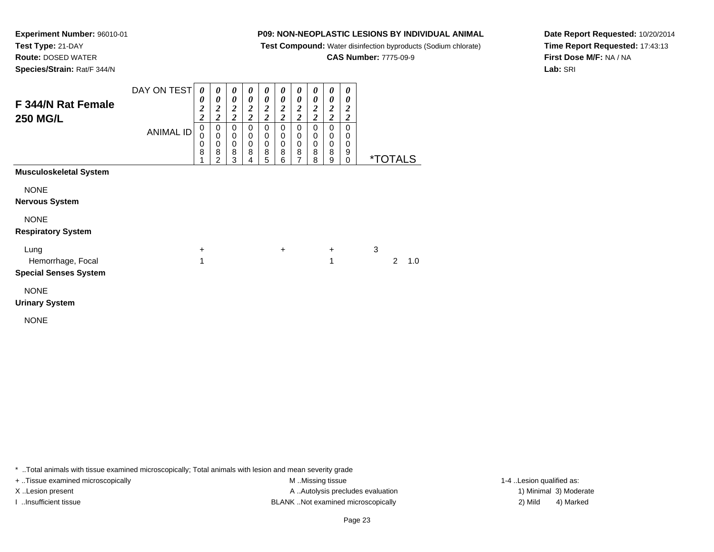**Test Compound:** Water disinfection byproducts (Sodium chlorate)

**CAS Number:** 7775-09-9

**Date Report Requested:** 10/20/2014**Time Report Requested:** 17:43:13**First Dose M/F:** NA / NA**Lab:** SRI

**Experiment Number:** 96010-01**Test Type:** 21-DAY **Route:** DOSED WATER**Species/Strain:** Rat/F 344/N

| F 344/N Rat Female<br><b>250 MG/L</b>                     | DAY ON TEST<br><b>ANIMAL ID</b> | 0<br>0<br>$\frac{2}{2}$<br>$\mathbf 0$<br>$\mathbf 0$<br>0<br>8 | 0<br>$\boldsymbol{\theta}$<br>$\boldsymbol{2}$<br>$\overline{2}$<br>0<br>$\pmb{0}$<br>$\mathbf 0$<br>8<br>$\mathfrak{p}$ | $\boldsymbol{\theta}$<br>0<br>$\frac{2}{2}$<br>$\pmb{0}$<br>$\begin{smallmatrix}0\\0\end{smallmatrix}$<br>8<br>3 | 0<br>0<br>$\boldsymbol{2}$<br>$\overline{\mathbf{c}}$<br>$\mathbf 0$<br>0<br>$\pmb{0}$<br>8<br>4 | 0<br>0<br>$\frac{2}{2}$<br>$\pmb{0}$<br>0<br>$\pmb{0}$<br>8<br>5 | 0<br>0<br>$\frac{2}{2}$<br>$\pmb{0}$<br>0<br>$\pmb{0}$<br>8<br>6 | 0<br>0<br>$\frac{2}{2}$<br>0<br>$\pmb{0}$<br>$\pmb{0}$<br>$\frac{8}{7}$ | 0<br>0<br>$\frac{2}{2}$<br>$\pmb{0}$<br>$\pmb{0}$<br>$\pmb{0}$<br>8<br>8 | 0<br>0<br>$\frac{2}{2}$<br>$\pmb{0}$<br>$\pmb{0}$<br>$\pmb{0}$<br>8<br>9 | 0<br>0<br>$\frac{2}{2}$<br>$\mathbf 0$<br>0<br>0<br>9<br>$\mathbf 0$ |   | <i><b>*TOTALS</b></i> |     |
|-----------------------------------------------------------|---------------------------------|-----------------------------------------------------------------|--------------------------------------------------------------------------------------------------------------------------|------------------------------------------------------------------------------------------------------------------|--------------------------------------------------------------------------------------------------|------------------------------------------------------------------|------------------------------------------------------------------|-------------------------------------------------------------------------|--------------------------------------------------------------------------|--------------------------------------------------------------------------|----------------------------------------------------------------------|---|-----------------------|-----|
| <b>Musculoskeletal System</b>                             |                                 |                                                                 |                                                                                                                          |                                                                                                                  |                                                                                                  |                                                                  |                                                                  |                                                                         |                                                                          |                                                                          |                                                                      |   |                       |     |
| <b>NONE</b><br><b>Nervous System</b>                      |                                 |                                                                 |                                                                                                                          |                                                                                                                  |                                                                                                  |                                                                  |                                                                  |                                                                         |                                                                          |                                                                          |                                                                      |   |                       |     |
| <b>NONE</b><br><b>Respiratory System</b>                  |                                 |                                                                 |                                                                                                                          |                                                                                                                  |                                                                                                  |                                                                  |                                                                  |                                                                         |                                                                          |                                                                          |                                                                      |   |                       |     |
| Lung<br>Hemorrhage, Focal<br><b>Special Senses System</b> |                                 | +<br>1                                                          |                                                                                                                          |                                                                                                                  |                                                                                                  |                                                                  | $\ddot{}$                                                        |                                                                         |                                                                          | $\ddot{}$<br>1                                                           |                                                                      | 3 | 2                     | 1.0 |
| <b>NONE</b><br><b>Urinary System</b>                      |                                 |                                                                 |                                                                                                                          |                                                                                                                  |                                                                                                  |                                                                  |                                                                  |                                                                         |                                                                          |                                                                          |                                                                      |   |                       |     |

NONE

\* ..Total animals with tissue examined microscopically; Total animals with lesion and mean severity grade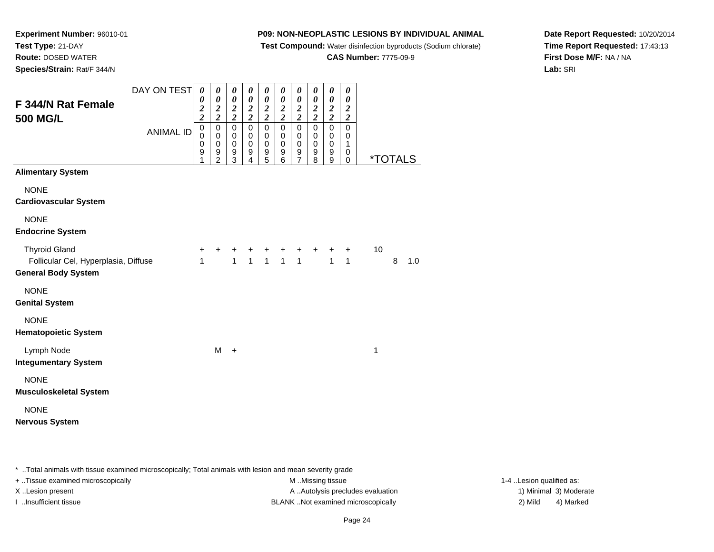**Test Compound:** Water disinfection byproducts (Sodium chlorate)

**CAS Number:** 7775-09-9

**Date Report Requested:** 10/20/2014**Time Report Requested:** 17:43:13**First Dose M/F:** NA / NA**Lab:** SRI

**Experiment Number:** 96010-01**Test Type:** 21-DAY **Route:** DOSED WATER**Species/Strain:** Rat/F 344/N

| F 344/N Rat Female                                                                         | DAY ON TEST      | 0<br>0<br>$\frac{2}{2}$ | 0<br>0<br>$\frac{2}{2}$                        | 0<br>$\boldsymbol{\theta}$<br>$\frac{2}{2}$ | 0<br>$\pmb{\theta}$<br>$\frac{2}{2}$ | 0<br>$\boldsymbol{\theta}$<br>$\frac{2}{2}$ | 0<br>$\boldsymbol{\theta}$<br>$\frac{2}{2}$ | 0<br>$\boldsymbol{\theta}$<br>$\frac{2}{2}$    | 0<br>$\boldsymbol{\theta}$<br>$\frac{2}{2}$ | 0<br>$\boldsymbol{\theta}$<br>$\frac{2}{2}$ | 0<br>$\pmb{\theta}$<br>$\boldsymbol{2}$                        |                       |   |     |
|--------------------------------------------------------------------------------------------|------------------|-------------------------|------------------------------------------------|---------------------------------------------|--------------------------------------|---------------------------------------------|---------------------------------------------|------------------------------------------------|---------------------------------------------|---------------------------------------------|----------------------------------------------------------------|-----------------------|---|-----|
| 500 MG/L                                                                                   | <b>ANIMAL ID</b> |                         | $\pmb{0}$<br>0<br>$\mathbf 0$<br>$\frac{9}{2}$ | $\mathsf 0$<br>0<br>$\,0\,$<br>9<br>3       | $\mathbf 0$<br>0<br>0<br>9<br>4      | 0<br>0<br>$\,0\,$<br>$\frac{9}{5}$          | $\mathbf 0$<br>0<br>0<br>9<br>6             | $\mathbf 0$<br>0<br>$\pmb{0}$<br>$\frac{9}{7}$ | $\mathbf 0$<br>0<br>$\pmb{0}$<br>9<br>8     | $\overline{0}$<br>0<br>$\pmb{0}$<br>$^9_9$  | $\boldsymbol{2}$<br>$\mathsf 0$<br>0<br>$\mathbf{1}$<br>0<br>0 | <i><b>*TOTALS</b></i> |   |     |
| <b>Alimentary System</b>                                                                   |                  |                         |                                                |                                             |                                      |                                             |                                             |                                                |                                             |                                             |                                                                |                       |   |     |
| <b>NONE</b><br><b>Cardiovascular System</b>                                                |                  |                         |                                                |                                             |                                      |                                             |                                             |                                                |                                             |                                             |                                                                |                       |   |     |
| <b>NONE</b><br><b>Endocrine System</b>                                                     |                  |                         |                                                |                                             |                                      |                                             |                                             |                                                |                                             |                                             |                                                                |                       |   |     |
| <b>Thyroid Gland</b><br>Follicular Cel, Hyperplasia, Diffuse<br><b>General Body System</b> |                  | +<br>$\mathbf{1}$       |                                                | $\overline{1}$                              |                                      |                                             | $+$ + + +<br>1 1 1 1                        |                                                |                                             | $\overline{1}$                              | $\ddot{}$<br>$\mathbf{1}$                                      | 10                    | 8 | 1.0 |
| <b>NONE</b><br><b>Genital System</b>                                                       |                  |                         |                                                |                                             |                                      |                                             |                                             |                                                |                                             |                                             |                                                                |                       |   |     |
| <b>NONE</b><br><b>Hematopoietic System</b>                                                 |                  |                         |                                                |                                             |                                      |                                             |                                             |                                                |                                             |                                             |                                                                |                       |   |     |
| Lymph Node<br><b>Integumentary System</b>                                                  |                  |                         | M                                              | $\ddot{}$                                   |                                      |                                             |                                             |                                                |                                             |                                             |                                                                | 1                     |   |     |
| <b>NONE</b><br>Musculoskeletal System                                                      |                  |                         |                                                |                                             |                                      |                                             |                                             |                                                |                                             |                                             |                                                                |                       |   |     |
| <b>NONE</b><br>Nervous System                                                              |                  |                         |                                                |                                             |                                      |                                             |                                             |                                                |                                             |                                             |                                                                |                       |   |     |

\* ..Total animals with tissue examined microscopically; Total animals with lesion and mean severity grade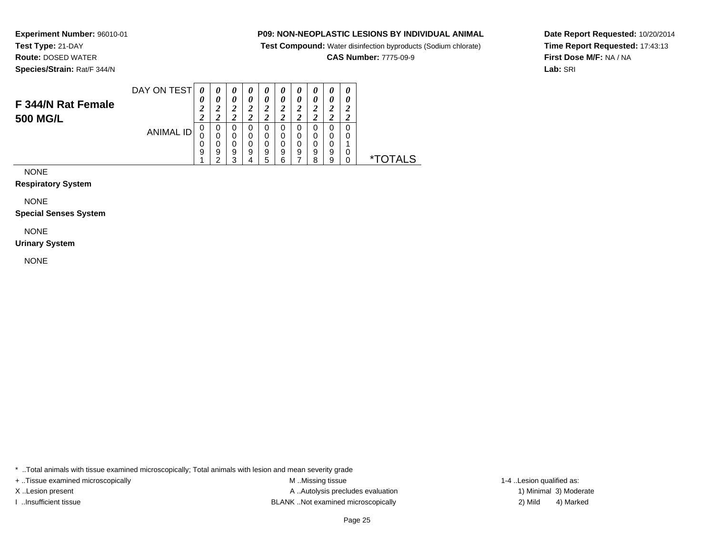**Test Compound:** Water disinfection byproducts (Sodium chlorate)

**CAS Number:** 7775-09-9

**Date Report Requested:** 10/20/2014**Time Report Requested:** 17:43:13**First Dose M/F:** NA / NA**Lab:** SRI

**Experiment Number:** 96010-01**Test Type:** 21-DAY **Route:** DOSED WATER**Species/Strain:** Rat/F 344/N

| F 344/N Rat Female<br><b>500 MG/L</b> | DAY ON TEST | 0<br>U      | U<br>∼ | $\boldsymbol{v}$<br>$\boldsymbol{\theta}$ | U<br>U | U<br>$\boldsymbol{\theta}$<br>2 | U           | U<br>0<br>∠<br>◢ | U           | 0<br>0<br>∠           | $\boldsymbol{\theta}$ |  |
|---------------------------------------|-------------|-------------|--------|-------------------------------------------|--------|---------------------------------|-------------|------------------|-------------|-----------------------|-----------------------|--|
|                                       | ANIMAL ID   | υ<br>0<br>9 | a      | 0<br>9<br>◠                               | 9      | 0<br>0<br>0<br>9<br>b           | U<br>9<br>⌒ | 0<br>0<br>9      | 0<br>9<br>ິ | Ω<br>0<br>0<br>9<br>9 | U<br>0                |  |

NONE

#### **Respiratory System**

NONE

**Special Senses System**

# NONE

**Urinary System**

NONE

\* ..Total animals with tissue examined microscopically; Total animals with lesion and mean severity grade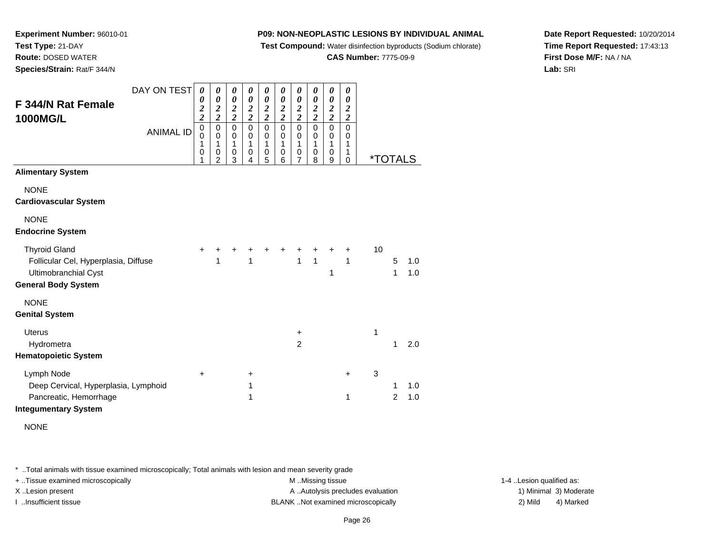**Test Compound:** Water disinfection byproducts (Sodium chlorate)

**CAS Number:** 7775-09-9

**Date Report Requested:** 10/20/2014**Time Report Requested:** 17:43:13**First Dose M/F:** NA / NA**Lab:** SRI

**Experiment Number:** 96010-01**Test Type:** 21-DAY **Route:** DOSED WATER**Species/Strain:** Rat/F 344/N

|                                                                                                                           | DAY ON TEST      | $\boldsymbol{\theta}$                        | 0                                                                   | 0                                              | 0                               | 0                                     | 0                                      | $\boldsymbol{\theta}$                                | 0                               | 0                                                    | 0                                       |                       |                |            |
|---------------------------------------------------------------------------------------------------------------------------|------------------|----------------------------------------------|---------------------------------------------------------------------|------------------------------------------------|---------------------------------|---------------------------------------|----------------------------------------|------------------------------------------------------|---------------------------------|------------------------------------------------------|-----------------------------------------|-----------------------|----------------|------------|
| F 344/N Rat Female<br><b>1000MG/L</b>                                                                                     |                  | 0<br>$\frac{2}{2}$                           | $\boldsymbol{\theta}$<br>$\frac{2}{2}$                              | $\boldsymbol{\theta}$<br>$\frac{2}{2}$         | $\pmb{\theta}$<br>$\frac{2}{2}$ | 0<br>$\frac{2}{2}$                    | $\boldsymbol{\theta}$<br>$\frac{2}{2}$ | $\boldsymbol{\theta}$<br>$\frac{2}{2}$               | 0<br>$\frac{2}{2}$              | $\boldsymbol{\theta}$<br>$\frac{2}{2}$               | 0<br>$\boldsymbol{2}$<br>$\overline{2}$ |                       |                |            |
|                                                                                                                           | <b>ANIMAL ID</b> | $\pmb{0}$<br>0<br>1<br>$\boldsymbol{0}$<br>1 | $\pmb{0}$<br>$\pmb{0}$<br>$\mathbf{1}$<br>$\,0\,$<br>$\overline{2}$ | $\mathbf 0$<br>0<br>1<br>$\boldsymbol{0}$<br>3 | $\mathbf 0$<br>0<br>1<br>0<br>4 | $\mathbf 0$<br>0<br>1<br>$\,0\,$<br>5 | $\mathbf 0$<br>0<br>1<br>0<br>6        | $\mathbf 0$<br>0<br>1<br>$\pmb{0}$<br>$\overline{7}$ | $\mathbf 0$<br>0<br>1<br>0<br>8 | $\mathbf 0$<br>0<br>$\mathbf{1}$<br>$\mathbf 0$<br>9 | $\mathbf 0$<br>0<br>1<br>1<br>0         | <i><b>*TOTALS</b></i> |                |            |
| <b>Alimentary System</b>                                                                                                  |                  |                                              |                                                                     |                                                |                                 |                                       |                                        |                                                      |                                 |                                                      |                                         |                       |                |            |
| <b>NONE</b><br><b>Cardiovascular System</b>                                                                               |                  |                                              |                                                                     |                                                |                                 |                                       |                                        |                                                      |                                 |                                                      |                                         |                       |                |            |
| <b>NONE</b><br><b>Endocrine System</b>                                                                                    |                  |                                              |                                                                     |                                                |                                 |                                       |                                        |                                                      |                                 |                                                      |                                         |                       |                |            |
| <b>Thyroid Gland</b><br>Follicular Cel, Hyperplasia, Diffuse<br><b>Ultimobranchial Cyst</b><br><b>General Body System</b> |                  | +                                            | 1                                                                   |                                                | 1                               |                                       |                                        | 1                                                    | $\mathbf{1}$                    | 1                                                    | +<br>1                                  | 10                    | 5<br>1         | 1.0<br>1.0 |
| <b>NONE</b>                                                                                                               |                  |                                              |                                                                     |                                                |                                 |                                       |                                        |                                                      |                                 |                                                      |                                         |                       |                |            |
| <b>Genital System</b>                                                                                                     |                  |                                              |                                                                     |                                                |                                 |                                       |                                        |                                                      |                                 |                                                      |                                         |                       |                |            |
| <b>Uterus</b><br>Hydrometra                                                                                               |                  |                                              |                                                                     |                                                |                                 |                                       |                                        | $\ddot{}$<br>$\overline{2}$                          |                                 |                                                      |                                         | 1                     | 1              | 2.0        |
| <b>Hematopoietic System</b>                                                                                               |                  |                                              |                                                                     |                                                |                                 |                                       |                                        |                                                      |                                 |                                                      |                                         |                       |                |            |
| Lymph Node                                                                                                                |                  | +                                            |                                                                     |                                                | +                               |                                       |                                        |                                                      |                                 |                                                      | +                                       | 3                     |                |            |
| Deep Cervical, Hyperplasia, Lymphoid                                                                                      |                  |                                              |                                                                     |                                                | 1                               |                                       |                                        |                                                      |                                 |                                                      |                                         |                       | 1              | 1.0        |
| Pancreatic, Hemorrhage<br><b>Integumentary System</b>                                                                     |                  |                                              |                                                                     |                                                | 1                               |                                       |                                        |                                                      |                                 |                                                      | 1                                       |                       | $\overline{2}$ | 1.0        |

NONE

\* ..Total animals with tissue examined microscopically; Total animals with lesion and mean severity grade

+ ..Tissue examined microscopically examined microscopically examined as:  $M$  ..Missing tissue 1-4 ..Lesion qualified as: X..Lesion present **A ..Autolysis precludes evaluation** A ..Autolysis precludes evaluation 1) Minimal 3) Moderate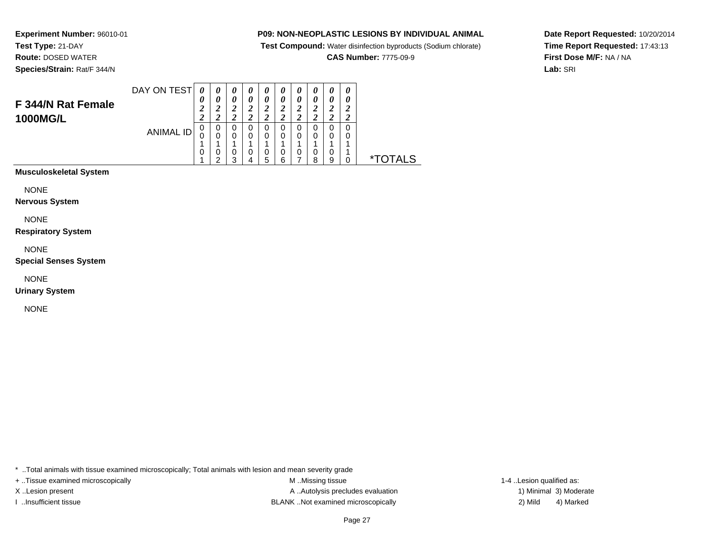**Test Compound:** Water disinfection byproducts (Sodium chlorate)

**CAS Number:** 7775-09-9

**Date Report Requested:** 10/20/2014**Time Report Requested:** 17:43:13**First Dose M/F:** NA / NA**Lab:** SRI

**Experiment Number:** 96010-01**Test Type:** 21-DAY **Route:** DOSED WATER**Species/Strain:** Rat/F 344/N

| 0<br>0<br>0<br>U<br>O<br>υ<br>ANIMAL ID<br>0<br>0<br>0<br>0<br>0<br>U<br>U | F 344/N Rat Female<br><b>1000MG/L</b> | DAY ON TEST | 0<br>$\boldsymbol{\theta}$<br>◢<br>Δ | $\boldsymbol{\theta}$<br>0<br>◠ | U<br>0 | U<br>0<br>∠ | U<br>$\boldsymbol{\theta}$ | $\boldsymbol{\theta}$<br>$\boldsymbol{\theta}$<br>2 | $\boldsymbol{\theta}$<br>0 | 0<br>0<br>∠ | 0<br>0<br>∠<br>∠ |       |
|----------------------------------------------------------------------------|---------------------------------------|-------------|--------------------------------------|---------------------------------|--------|-------------|----------------------------|-----------------------------------------------------|----------------------------|-------------|------------------|-------|
| U<br>υ<br>∗⊤<br>2<br>9<br>5<br>6<br>я<br>◠                                 |                                       |             |                                      | υ                               |        |             |                            | 0                                                   | 0                          | 0           |                  | )TALS |

**Musculoskeletal System**

NONE

**Nervous System**

NONE

**Respiratory System**

NONE

**Special Senses System**

NONE

**Urinary System**

NONE

\* ..Total animals with tissue examined microscopically; Total animals with lesion and mean severity grade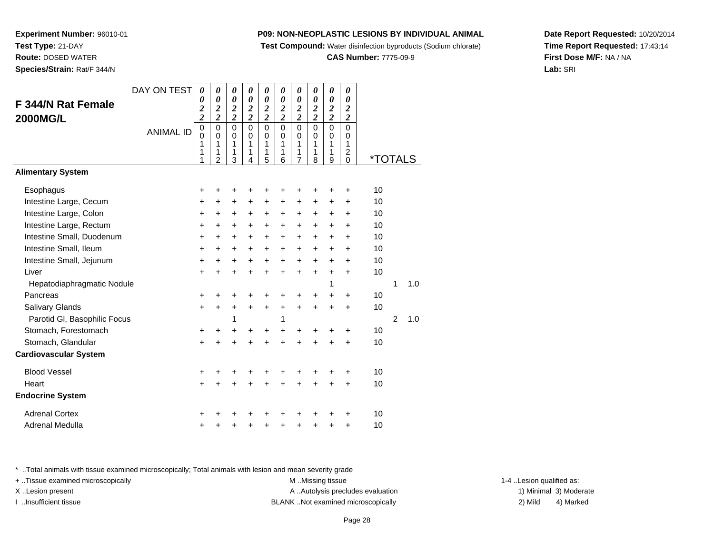**Test Compound:** Water disinfection byproducts (Sodium chlorate)

**CAS Number:** 7775-09-9

**Date Report Requested:** 10/20/2014**Time Report Requested:** 17:43:14**First Dose M/F:** NA / NA**Lab:** SRI

sue examined microscopically; Total animals with lesion and mean severity grade

X..Lesion present **A ..Autolysis precludes evaluation** A ..Autolysis precludes evaluation 1) Minimal 3) Moderate

I ..Insufficient tissue BLANK ..Not examined microscopically 2) Mild 4) Marked

+ ..Tissue examined microscopically examined microscopically examined as:  $M$  ..Missing tissue 1-4 ..Lesion qualified as:

|  | Fotal animals with tiss |  |
|--|-------------------------|--|
|  |                         |  |

| . |  |  |
|---|--|--|
|   |  |  |
|   |  |  |
|   |  |  |
|   |  |  |
|   |  |  |
|   |  |  |
|   |  |  |
|   |  |  |
|   |  |  |
|   |  |  |

|                              | 1<br>1<br>1 | 1<br>$\overline{2}$ | 1<br>1<br>3 | 1<br>1<br>4 | 1<br>5    | 1<br>6    | $\mathbf{1}$<br>7 | 1<br>8    | 1<br>9    | 1<br>$\overline{2}$<br>$\mathbf 0$ | <i><b>*TOTALS</b></i> |                |     |  |
|------------------------------|-------------|---------------------|-------------|-------------|-----------|-----------|-------------------|-----------|-----------|------------------------------------|-----------------------|----------------|-----|--|
| <b>Alimentary System</b>     |             |                     |             |             |           |           |                   |           |           |                                    |                       |                |     |  |
| Esophagus                    | +           | +                   |             |             |           |           |                   |           |           | +                                  | 10                    |                |     |  |
| Intestine Large, Cecum       | $\ddot{}$   | +                   | $\ddot{}$   | +           | +         | $\ddot{}$ | $\ddot{}$         | $\pm$     | +         | +                                  | 10                    |                |     |  |
| Intestine Large, Colon       | $\ddot{}$   | +                   | +           | $\ddot{}$   | +         | $\ddot{}$ | $\ddot{}$         | $\ddot{}$ | +         | $\ddot{}$                          | 10                    |                |     |  |
| Intestine Large, Rectum      | +           | $\ddot{}$           | $\ddot{}$   | $\ddot{}$   | $\ddot{}$ | $\ddot{}$ | $+$               | $\pm$     | +         | +                                  | 10                    |                |     |  |
| Intestine Small, Duodenum    | $\ddot{}$   | $\ddot{}$           | $\ddot{}$   | $\ddot{}$   | +         | $\ddot{}$ | $+$               | $+$       | $\ddot{}$ | $\ddot{}$                          | 10                    |                |     |  |
| Intestine Small, Ileum       | $\ddot{}$   | $\ddot{}$           | $\ddot{}$   | $\ddot{}$   | $\ddot{}$ | $\ddot{}$ | $+$               | $\ddot{}$ | +         | +                                  | 10                    |                |     |  |
| Intestine Small, Jejunum     | $\ddot{}$   | $\ddot{}$           | +           | +           | $\ddot{}$ | $\ddot{}$ | $\ddot{}$         | $\ddot{}$ | $\ddot{}$ | $\ddot{}$                          | 10                    |                |     |  |
| Liver                        | $\ddot{}$   | $\ddot{}$           | $\ddot{}$   | $\ddot{}$   | $\ddot{}$ | $\ddot{}$ | $\ddot{}$         | $\ddot{}$ | $\ddot{}$ | $\ddot{}$                          | 10                    |                |     |  |
| Hepatodiaphragmatic Nodule   |             |                     |             |             |           |           |                   |           | 1         |                                    |                       | 1              | 1.0 |  |
| Pancreas                     | +           | +                   | +           | ٠           | +         | ٠         | ٠                 | ٠         |           | ٠                                  | 10                    |                |     |  |
| Salivary Glands              | $+$         | $\ddot{}$           | $\ddot{}$   | $\ddot{}$   | $\ddot{}$ | $\ddot{}$ | $\ddot{}$         | $\ddot{}$ | $\ddot{}$ | $\ddot{}$                          | 10                    |                |     |  |
| Parotid GI, Basophilic Focus |             |                     | 1           |             |           | 1         |                   |           |           |                                    |                       | $\overline{2}$ | 1.0 |  |
| Stomach, Forestomach         | +           | +                   | +           | ٠           | +         | +         | +                 | +         | +         | $\ddot{}$                          | 10                    |                |     |  |
| Stomach, Glandular           | $+$         | $\ddot{}$           | ÷           |             | ÷         | $\ddot{}$ | ÷                 | +         | +         | $\ddot{}$                          | 10                    |                |     |  |
| <b>Cardiovascular System</b> |             |                     |             |             |           |           |                   |           |           |                                    |                       |                |     |  |
| <b>Blood Vessel</b>          | +           | +                   | +           | $\ddot{}$   | +         | +         | +                 | +         | +         | +                                  | 10                    |                |     |  |
| Heart                        | $\ddot{}$   | $\ddot{}$           | $\ddot{}$   | +           | $\ddot{}$ | $\ddot{}$ | $\ddot{}$         | $\ddot{}$ | $\ddot{}$ | $\ddot{}$                          | 10                    |                |     |  |
| <b>Endocrine System</b>      |             |                     |             |             |           |           |                   |           |           |                                    |                       |                |     |  |
| <b>Adrenal Cortex</b>        | +           |                     |             |             |           | +         |                   |           |           | +                                  | 10                    |                |     |  |
| Adrenal Medulla              | +           |                     |             |             |           | +         | +                 | +         | +         | $\ddot{}$                          | 10                    |                |     |  |
|                              |             |                     |             |             |           |           |                   |           |           |                                    |                       |                |     |  |

**Experiment Number:** 96010-01**Test Type:** 21-DAY **Route:** DOSED WATER**Species/Strain:** Rat/F 344/N

**F 344/N Rat Female**

**2000MG/L**

DAY ON TEST

*0*

*0 2 2*

*0*

*0*

*0 2 2*

0 0

0 0

0 0

0 0

*0 2 2*

0 0

0 0

0 0

0 0

0 0

0 0

ANIMAL ID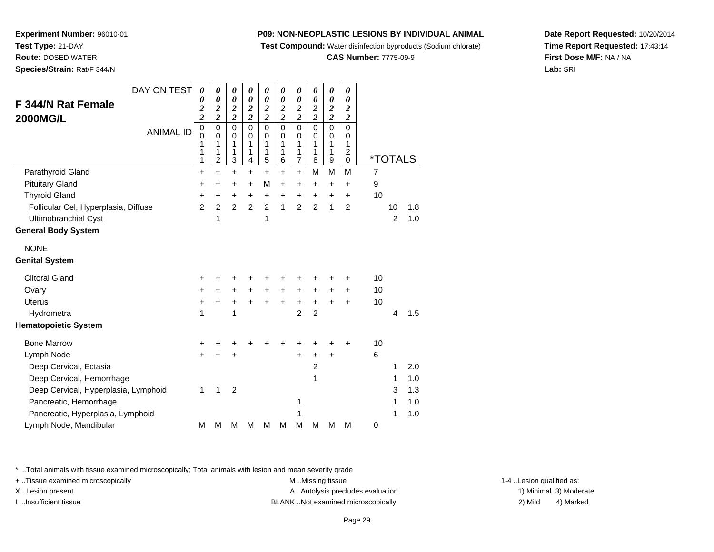**Test Compound:** Water disinfection byproducts (Sodium chlorate)

**CAS Number:** 7775-09-9

**Date Report Requested:** 10/20/2014**Time Report Requested:** 17:43:14**First Dose M/F:** NA / NA**Lab:** SRI

**Experiment Number:** 96010-01**Test Type:** 21-DAY **Route:** DOSED WATER**Species/Strain:** Rat/F 344/N

| DAY ON TEST                          | 0                            | 0                                                   | 0                                      | 0                                      | 0                               | 0                                      | 0                                            | 0                                         | 0                               | 0                                                  |                       |                |     |
|--------------------------------------|------------------------------|-----------------------------------------------------|----------------------------------------|----------------------------------------|---------------------------------|----------------------------------------|----------------------------------------------|-------------------------------------------|---------------------------------|----------------------------------------------------|-----------------------|----------------|-----|
| F 344/N Rat Female                   | 0<br>$\overline{\mathbf{c}}$ | 0<br>$\boldsymbol{2}$                               | 0<br>$\boldsymbol{2}$                  | 0<br>$\boldsymbol{2}$                  | 0<br>$\boldsymbol{2}$           | 0<br>$\boldsymbol{2}$                  | 0<br>$\overline{\mathbf{c}}$                 | $\boldsymbol{\theta}$                     | 0<br>$\overline{\mathbf{c}}$    | 0<br>$\boldsymbol{2}$                              |                       |                |     |
| <b>2000MG/L</b>                      | $\overline{c}$               | $\overline{c}$                                      | $\overline{2}$                         | $\overline{2}$                         | $\overline{c}$                  | $\overline{2}$                         | $\overline{c}$                               | $\frac{2}{2}$                             | $\overline{2}$                  | $\overline{2}$                                     |                       |                |     |
| <b>ANIMAL ID</b>                     | 0<br>0<br>1<br>1<br>1        | $\mathsf 0$<br>$\Omega$<br>1<br>1<br>$\overline{2}$ | $\mathbf 0$<br>$\Omega$<br>1<br>1<br>3 | $\mathbf 0$<br>$\Omega$<br>1<br>1<br>4 | 0<br>$\mathbf 0$<br>1<br>1<br>5 | $\mathbf 0$<br>$\Omega$<br>1<br>1<br>6 | 0<br>$\mathbf 0$<br>1<br>1<br>$\overline{7}$ | $\mathbf 0$<br>$\mathbf 0$<br>1<br>1<br>8 | 0<br>$\mathbf 0$<br>1<br>1<br>9 | 0<br>$\Omega$<br>1<br>$\overline{\mathbf{c}}$<br>0 | <i><b>*TOTALS</b></i> |                |     |
| Parathyroid Gland                    | $\ddot{}$                    | $\ddot{}$                                           | $\ddot{}$                              | $\ddot{}$                              | $\ddot{}$                       | $\ddot{}$                              | $\ddot{}$                                    | M                                         | M                               | M                                                  | $\overline{7}$        |                |     |
| <b>Pituitary Gland</b>               | +                            | +                                                   | +                                      | $\ddot{}$                              | M                               | $\ddot{}$                              | $\ddot{}$                                    | $\ddot{}$                                 | $\ddot{}$                       | $\ddot{}$                                          | 9                     |                |     |
| <b>Thyroid Gland</b>                 | +                            | +                                                   | $\ddot{}$                              | $\ddot{}$                              | $\ddot{}$                       | $\ddot{}$                              | +                                            | +                                         | +                               | $\ddot{}$                                          | 10                    |                |     |
| Follicular Cel, Hyperplasia, Diffuse | $\overline{2}$               | $\overline{2}$                                      | $\overline{2}$                         | $\overline{2}$                         | $\overline{2}$                  | 1                                      | $\overline{2}$                               | $\overline{2}$                            | 1                               | $\overline{2}$                                     |                       | 10             | 1.8 |
| Ultimobranchial Cyst                 |                              | 1                                                   |                                        |                                        | 1                               |                                        |                                              |                                           |                                 |                                                    |                       | $\overline{2}$ | 1.0 |
| <b>General Body System</b>           |                              |                                                     |                                        |                                        |                                 |                                        |                                              |                                           |                                 |                                                    |                       |                |     |
| <b>NONE</b>                          |                              |                                                     |                                        |                                        |                                 |                                        |                                              |                                           |                                 |                                                    |                       |                |     |
| <b>Genital System</b>                |                              |                                                     |                                        |                                        |                                 |                                        |                                              |                                           |                                 |                                                    |                       |                |     |
| <b>Clitoral Gland</b>                | +                            |                                                     |                                        |                                        |                                 | +                                      | +                                            | +                                         | +                               | +                                                  | 10                    |                |     |
| Ovary                                | $\ddot{}$                    | $\ddot{}$                                           | $\ddot{}$                              | $\ddot{}$                              | $\ddot{}$                       | $\ddot{}$                              | $+$                                          | $\ddot{}$                                 | $\ddot{}$                       | $\ddot{}$                                          | 10                    |                |     |
| <b>Uterus</b>                        | $\ddot{}$                    | +                                                   | $\ddot{}$                              | +                                      | +                               | $\ddot{}$                              | $\ddot{}$                                    | $\ddot{}$                                 | $\ddot{}$                       | $\ddot{}$                                          | 10                    |                |     |
| Hydrometra                           | 1                            |                                                     | 1                                      |                                        |                                 |                                        | $\overline{2}$                               | $\overline{2}$                            |                                 |                                                    |                       | 4              | 1.5 |
| <b>Hematopoietic System</b>          |                              |                                                     |                                        |                                        |                                 |                                        |                                              |                                           |                                 |                                                    |                       |                |     |
| <b>Bone Marrow</b>                   | ٠                            |                                                     |                                        |                                        |                                 | +                                      | +                                            | +                                         | +                               | +                                                  | 10                    |                |     |
| Lymph Node                           | +                            |                                                     |                                        |                                        |                                 |                                        | +                                            | $\ddot{}$                                 | $\ddot{}$                       |                                                    | 6                     |                |     |
| Deep Cervical, Ectasia               |                              |                                                     |                                        |                                        |                                 |                                        |                                              | $\overline{c}$                            |                                 |                                                    |                       | 1              | 2.0 |
| Deep Cervical, Hemorrhage            |                              |                                                     |                                        |                                        |                                 |                                        |                                              | 1                                         |                                 |                                                    |                       | 1              | 1.0 |
| Deep Cervical, Hyperplasia, Lymphoid | 1                            | 1                                                   | $\overline{2}$                         |                                        |                                 |                                        |                                              |                                           |                                 |                                                    |                       | 3              | 1.3 |
| Pancreatic, Hemorrhage               |                              |                                                     |                                        |                                        |                                 |                                        | 1                                            |                                           |                                 |                                                    |                       | 1              | 1.0 |
| Pancreatic, Hyperplasia, Lymphoid    |                              |                                                     |                                        |                                        |                                 |                                        | 1                                            |                                           |                                 |                                                    |                       | 1              | 1.0 |
| Lymph Node, Mandibular               | М                            | M                                                   | М                                      | М                                      | M                               | M                                      | M                                            | M                                         | M                               | M                                                  | 0                     |                |     |

\* ..Total animals with tissue examined microscopically; Total animals with lesion and mean severity grade

+ ..Tissue examined microscopically examined microscopically examined as:  $M$  ..Missing tissue 1-4 ..Lesion qualified as:

X..Lesion present **A ..Autolysis precludes evaluation** A ..Autolysis precludes evaluation 1) Minimal 3) Moderate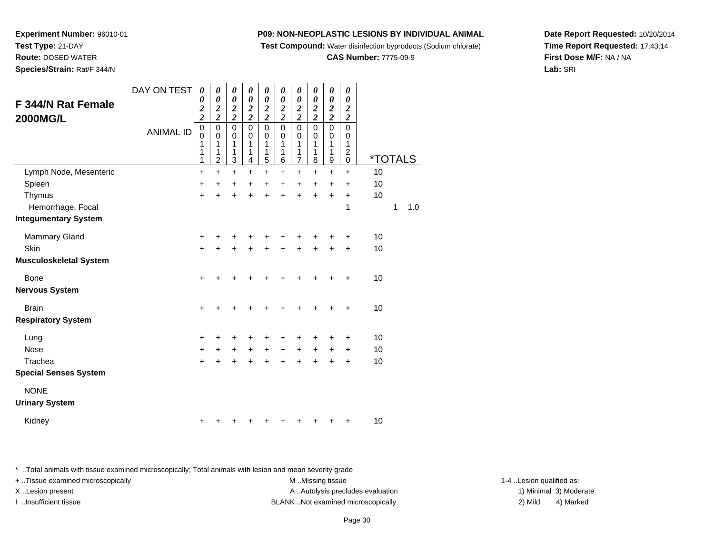**Test Compound:** Water disinfection byproducts (Sodium chlorate)

**CAS Number:** 7775-09-9

**Date Report Requested:** 10/20/2014**Time Report Requested:** 17:43:14**First Dose M/F:** NA / NA**Lab:** SRI

**Experiment Number:** 96010-01**Test Type:** 21-DAY**Route:** DOSED WATER

**Species/Strain:** Rat/F 344/N

| F 344/N Rat Female<br><b>2000MG/L</b> | DAY ON TEST      | 0<br>$\boldsymbol{\theta}$<br>$\overline{\mathbf{c}}$<br>$\overline{2}$ | 0<br>$\boldsymbol{\theta}$<br>$\overline{\mathbf{c}}$<br>$\overline{2}$ | 0<br>$\boldsymbol{\theta}$<br>$\boldsymbol{2}$<br>$\overline{2}$ | 0<br>$\boldsymbol{\theta}$<br>$\overline{\mathbf{c}}$<br>$\overline{2}$ | 0<br>$\boldsymbol{\theta}$<br>$\overline{2}$<br>$\overline{\mathbf{c}}$ | 0<br>$\boldsymbol{\theta}$<br>$\overline{2}$<br>$\overline{2}$ | 0<br>$\boldsymbol{\theta}$<br>$\overline{2}$<br>$\overline{2}$ | 0<br>$\boldsymbol{\theta}$<br>$\overline{2}$<br>$\overline{2}$ | 0<br>$\boldsymbol{\theta}$<br>$\overline{2}$<br>$\overline{\mathbf{2}}$ | 0<br>$\boldsymbol{\theta}$<br>$\overline{2}$                                     |                       |   |     |
|---------------------------------------|------------------|-------------------------------------------------------------------------|-------------------------------------------------------------------------|------------------------------------------------------------------|-------------------------------------------------------------------------|-------------------------------------------------------------------------|----------------------------------------------------------------|----------------------------------------------------------------|----------------------------------------------------------------|-------------------------------------------------------------------------|----------------------------------------------------------------------------------|-----------------------|---|-----|
|                                       | <b>ANIMAL ID</b> | $\mathbf 0$<br>$\mathbf 0$<br>1<br>1<br>1                               | $\pmb{0}$<br>$\mathbf 0$<br>1<br>1<br>$\overline{c}$                    | $\mathbf 0$<br>$\pmb{0}$<br>1<br>1<br>3                          | $\pmb{0}$<br>0<br>1<br>1<br>4                                           | $\mathbf 0$<br>$\mathbf 0$<br>1<br>1<br>5                               | $\pmb{0}$<br>0<br>1<br>1<br>6                                  | $\mathsf 0$<br>$\mathbf 0$<br>1<br>1<br>7                      | $\mathbf 0$<br>$\pmb{0}$<br>1<br>1<br>8                        | $\mathbf 0$<br>0<br>1<br>1<br>9                                         | $\overline{2}$<br>$\mathbf 0$<br>$\mathbf 0$<br>1<br>$\overline{2}$<br>$\pmb{0}$ | <i><b>*TOTALS</b></i> |   |     |
| Lymph Node, Mesenteric                |                  | $\ddot{}$                                                               | $\ddot{}$                                                               | $\ddot{}$                                                        | $\ddot{}$                                                               | $\ddot{}$                                                               | $\ddot{}$                                                      | $\ddot{}$                                                      | $\ddot{}$                                                      | $\ddot{}$                                                               | $\ddot{}$                                                                        | 10                    |   |     |
| Spleen                                |                  | +                                                                       | +                                                                       | +                                                                | $\ddot{}$                                                               | +                                                                       | $\ddot{}$                                                      | +                                                              | $\ddot{}$                                                      | +                                                                       | +                                                                                | 10                    |   |     |
| Thymus                                |                  | $\ddot{}$                                                               | +                                                                       | +                                                                | +                                                                       | +                                                                       | +                                                              | +                                                              | +                                                              | +                                                                       | +                                                                                | 10                    |   |     |
| Hemorrhage, Focal                     |                  |                                                                         |                                                                         |                                                                  |                                                                         |                                                                         |                                                                |                                                                |                                                                |                                                                         | 1                                                                                |                       | 1 | 1.0 |
| <b>Integumentary System</b>           |                  |                                                                         |                                                                         |                                                                  |                                                                         |                                                                         |                                                                |                                                                |                                                                |                                                                         |                                                                                  |                       |   |     |
| <b>Mammary Gland</b>                  |                  | +                                                                       | +                                                                       | +                                                                | +                                                                       | +                                                                       | +                                                              | +                                                              | +                                                              | +                                                                       | +                                                                                | 10                    |   |     |
| Skin                                  |                  | $\ddot{}$                                                               | $\ddot{}$                                                               | $\ddot{}$                                                        | $\ddot{}$                                                               | $\ddot{}$                                                               | $\ddot{}$                                                      | $\ddot{}$                                                      | $\ddot{}$                                                      | $\ddot{}$                                                               | $\ddot{}$                                                                        | 10                    |   |     |
| <b>Musculoskeletal System</b>         |                  |                                                                         |                                                                         |                                                                  |                                                                         |                                                                         |                                                                |                                                                |                                                                |                                                                         |                                                                                  |                       |   |     |
| Bone                                  |                  | $\ddot{}$                                                               | +                                                                       | +                                                                | +                                                                       | +                                                                       | +                                                              | ÷                                                              | +                                                              | +                                                                       | +                                                                                | 10                    |   |     |
| <b>Nervous System</b>                 |                  |                                                                         |                                                                         |                                                                  |                                                                         |                                                                         |                                                                |                                                                |                                                                |                                                                         |                                                                                  |                       |   |     |
| <b>Brain</b>                          |                  | $\ddot{}$                                                               | +                                                                       | +                                                                | +                                                                       | +                                                                       | +                                                              | $\ddot{}$                                                      | +                                                              | +                                                                       | +                                                                                | 10                    |   |     |
| <b>Respiratory System</b>             |                  |                                                                         |                                                                         |                                                                  |                                                                         |                                                                         |                                                                |                                                                |                                                                |                                                                         |                                                                                  |                       |   |     |
| Lung                                  |                  | +                                                                       | +                                                                       | +                                                                | +                                                                       | +                                                                       | +                                                              | +                                                              | +                                                              | +                                                                       | +                                                                                | 10                    |   |     |
| <b>Nose</b>                           |                  | $\ddot{}$                                                               | $\ddot{}$                                                               | $\ddot{}$                                                        | $+$                                                                     | $\ddot{}$                                                               | $\ddot{}$                                                      | $\ddot{}$                                                      | $\ddot{}$                                                      | $\ddot{}$                                                               | $\ddot{}$                                                                        | 10                    |   |     |
| Trachea                               |                  | $\ddot{}$                                                               | $\ddot{}$                                                               | $\ddot{}$                                                        | $\ddot{}$                                                               | $\ddot{}$                                                               | $\ddot{}$                                                      | $\ddot{}$                                                      | $\ddot{}$                                                      | $\ddot{}$                                                               | $\ddot{}$                                                                        | 10                    |   |     |
| <b>Special Senses System</b>          |                  |                                                                         |                                                                         |                                                                  |                                                                         |                                                                         |                                                                |                                                                |                                                                |                                                                         |                                                                                  |                       |   |     |
| <b>NONE</b><br><b>Urinary System</b>  |                  |                                                                         |                                                                         |                                                                  |                                                                         |                                                                         |                                                                |                                                                |                                                                |                                                                         |                                                                                  |                       |   |     |
| Kidney                                |                  | +                                                                       | +                                                                       | +                                                                | +                                                                       |                                                                         |                                                                |                                                                | +                                                              | +                                                                       | +                                                                                | 10                    |   |     |
|                                       |                  |                                                                         |                                                                         |                                                                  |                                                                         |                                                                         |                                                                |                                                                |                                                                |                                                                         |                                                                                  |                       |   |     |

\* ..Total animals with tissue examined microscopically; Total animals with lesion and mean severity grade